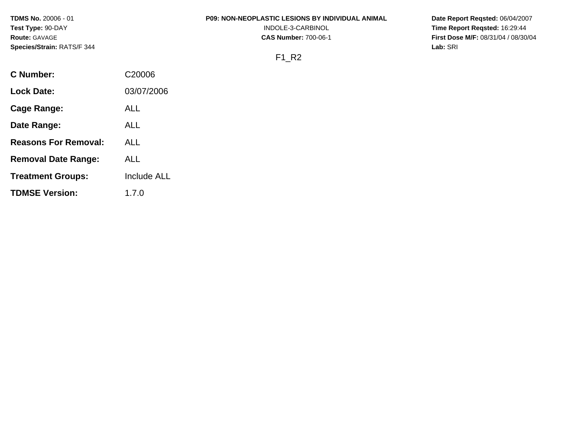**TDMS No.** 20006 - 01 **Test Type:** 90-DAY **Route:** GAVAGE **Species/Strain:** RATS/F 344

#### **P09: NON-NEOPLASTIC LESIONS BY INDIVIDUAL ANIMAL**

INDOLE-3-CARBINOL **CAS Number:** 700-06-1 **Date Report Reqsted:** 06/04/2007 **Time Report Reqsted:** 16:29:44 **First Dose M/F:** 08/31/04 / 08/30/04 **Lab:** SRI

#### F1\_R2

| C Number:                   | C <sub>20006</sub> |
|-----------------------------|--------------------|
| Lock Date:                  | 03/07/2006         |
| Cage Range:                 | ALL                |
| Date Range:                 | ALL                |
| <b>Reasons For Removal:</b> | ALL.               |
| <b>Removal Date Range:</b>  | ALL                |
| <b>Treatment Groups:</b>    | Include ALL        |
| <b>TDMSE Version:</b>       | 1.7.0              |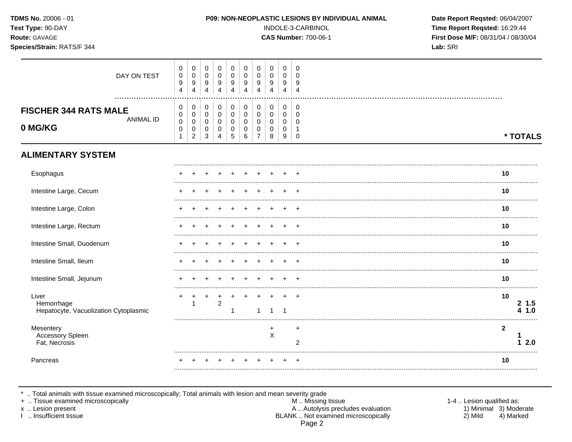| TDMS No. 20006 - 01<br>Test Type: 90-DAY<br>Route: GAVAGE<br>Species/Strain: RATS/F 344 |                                            |                                                      |                                           |                                                            |                                                                |                                                               |                                                        |                                                |                                                     |                                                                         | P09: NON-NEOPLASTIC LESIONS BY INDIVIDUAL ANIMAL<br>INDOLE-3-CARBINOL<br><b>CAS Number: 700-06-1</b> | Date Report Reqsted: 06/04/2007<br>Time Report Reqsted: 16:29:44<br>First Dose M/F: 08/31/04 / 08/30/04<br>Lab: SRI |
|-----------------------------------------------------------------------------------------|--------------------------------------------|------------------------------------------------------|-------------------------------------------|------------------------------------------------------------|----------------------------------------------------------------|---------------------------------------------------------------|--------------------------------------------------------|------------------------------------------------|-----------------------------------------------------|-------------------------------------------------------------------------|------------------------------------------------------------------------------------------------------|---------------------------------------------------------------------------------------------------------------------|
| DAY ON TEST                                                                             | 0<br>$\pmb{0}$<br>9<br>$\overline{4}$      | 0<br>$\pmb{0}$<br>$\boldsymbol{9}$<br>$\overline{4}$ | 0<br>$\mathbf 0$<br>9<br>4                | $\mathbf 0$<br>$\Omega$<br>9<br>$\overline{\mathbf{4}}$    | 0<br>$\mathbf 0$<br>9<br>$\overline{4}$                        | 0<br>$\mathbf 0$<br>9<br>$\overline{4}$                       | 0<br>$\mathbf 0$<br>9<br>$\overline{4}$                | 0<br>$\mathsf 0$<br>9<br>$\overline{4}$        | $\mathbf 0$<br>$\mathbf 0$<br>9<br>4                | $\mathbf 0$<br>0<br>9<br>$\overline{4}$                                 |                                                                                                      |                                                                                                                     |
| <b>FISCHER 344 RATS MALE</b><br>ANIMAL ID<br>0 MG/KG                                    | 0<br>0<br>$\mathbf 0$<br>0<br>$\mathbf{1}$ | 0<br>0<br>$\pmb{0}$<br>0<br>$\boldsymbol{2}$         | 0<br>0<br>$\mathbf 0$<br>$\mathbf 0$<br>3 | $\mathbf 0$<br>$\mathbf 0$<br>$\Omega$<br>$\mathbf 0$<br>4 | 0<br>$\mathbf 0$<br>$\mathbf 0$<br>$\pmb{0}$<br>$\overline{5}$ | $\mathbf 0$<br>$\mathbf 0$<br>$\mathbf 0$<br>$\mathbf 0$<br>6 | $\mathbf 0$<br>0<br>$\mathbf 0$<br>0<br>$\overline{7}$ | 0<br>$\boldsymbol{0}$<br>$\mathbf 0$<br>0<br>8 | $\mathbf 0$<br>$\mathbf 0$<br>$\mathbf 0$<br>0<br>9 | $\mathbf 0$<br>$\mathbf 0$<br>$\Omega$<br>$\overline{1}$<br>$\mathbf 0$ |                                                                                                      | * TOTALS                                                                                                            |
| <b>ALIMENTARY SYSTEM</b>                                                                |                                            |                                                      |                                           |                                                            |                                                                |                                                               |                                                        |                                                |                                                     |                                                                         |                                                                                                      |                                                                                                                     |
| Esophagus                                                                               |                                            |                                                      |                                           |                                                            |                                                                |                                                               |                                                        |                                                |                                                     |                                                                         |                                                                                                      | 10                                                                                                                  |
| Intestine Large, Cecum                                                                  |                                            |                                                      |                                           |                                                            |                                                                |                                                               |                                                        |                                                |                                                     |                                                                         |                                                                                                      | 10                                                                                                                  |
| Intestine Large, Colon                                                                  |                                            |                                                      |                                           |                                                            |                                                                |                                                               |                                                        |                                                |                                                     |                                                                         |                                                                                                      | 10                                                                                                                  |
| Intestine Large, Rectum                                                                 |                                            |                                                      |                                           |                                                            |                                                                |                                                               |                                                        |                                                |                                                     | $\ddot{}$                                                               |                                                                                                      | 10                                                                                                                  |
| Intestine Small, Duodenum                                                               |                                            |                                                      |                                           |                                                            |                                                                |                                                               |                                                        |                                                |                                                     |                                                                         |                                                                                                      | 10                                                                                                                  |
| Intestine Small, Ileum                                                                  |                                            |                                                      |                                           |                                                            |                                                                |                                                               |                                                        |                                                |                                                     |                                                                         |                                                                                                      | 10                                                                                                                  |
| Intestine Small, Jejunum                                                                |                                            |                                                      |                                           |                                                            |                                                                |                                                               |                                                        |                                                |                                                     |                                                                         |                                                                                                      | 10                                                                                                                  |
| Liver<br>Hemorrhage<br>Hepatocyte, Vacuolization Cytoplasmic                            | +                                          | $\ddot{}$<br>$\mathbf{1}$                            | $\ddot{}$                                 | $\ddot{}$<br>$\overline{2}$                                | 1                                                              |                                                               | $\mathbf{1}$                                           | $\ddot{}$<br>$\mathbf{1}$                      | $\ddot{}$<br>$\overline{\mathbf{1}}$                | $+$                                                                     |                                                                                                      | 10<br>$2\;1.5$<br>4 1.0                                                                                             |
| Mesentery<br>Accessory Spleen<br>Fat, Necrosis                                          |                                            |                                                      |                                           |                                                            |                                                                |                                                               |                                                        | $\ddot{}$<br>X                                 |                                                     | $\ddot{}$<br>$\overline{2}$                                             |                                                                                                      | $\mathbf{2}$<br>12.0                                                                                                |
| Pancreas                                                                                |                                            |                                                      |                                           |                                                            |                                                                |                                                               |                                                        |                                                |                                                     | <b>+</b>                                                                |                                                                                                      | 10                                                                                                                  |
|                                                                                         |                                            |                                                      |                                           |                                                            |                                                                |                                                               |                                                        |                                                |                                                     |                                                                         |                                                                                                      |                                                                                                                     |

\* .. Total animals with tissue examined microscopically; Total animals with lesion and mean severity grade<br>
+ .. Tissue examined microscopically<br>
× .. Lesion present A .. Autolysis precludes evaluation<br>
1 .. Insufficient Page 2

1-4 .. Lesion qualified as: 1) Minimal 3) Moderate  $2)$  Mild 4) Marked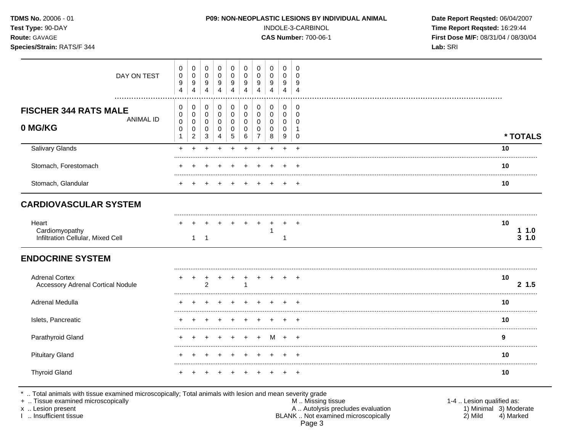| <b>TDMS No. 20006 - 01</b><br>Test Type: 90-DAY<br><b>Route: GAVAGE</b><br>Species/Strain: RATS/F 344 |             |                               |                                 |                            |                                      |                  |                                                |                  |                       | <b>P09: NON-NEOPLASTIC LESIONS BY INDIVIDUAL ANIMAL</b><br>INDOLE-3-CARBINOL<br><b>CAS Number: 700-06-1</b> | Date Report Reqsted: 06/04/2007<br>Time Report Reqsted: 16:29:44<br>First Dose M/F: 08/31/04 / 08/30/04<br>Lab: SRI |
|-------------------------------------------------------------------------------------------------------|-------------|-------------------------------|---------------------------------|----------------------------|--------------------------------------|------------------|------------------------------------------------|------------------|-----------------------|-------------------------------------------------------------------------------------------------------------|---------------------------------------------------------------------------------------------------------------------|
|                                                                                                       | DAY ON TEST | 0<br>0<br>9<br>$\overline{4}$ | 0<br>0<br>0<br>9<br>9<br>4<br>4 | 0<br>0<br>$9\,$<br>4       | 0<br>0<br>9<br>4                     | 0<br>0<br>9<br>4 | 0<br>$\mathbf 0$<br>9<br>4                     | 0<br>0<br>9<br>4 | 0<br>9<br>4           | U<br>U<br>9<br>4                                                                                            |                                                                                                                     |
| <b>FISCHER 344 RATS MALE</b><br>0 MG/KG                                                               | ANIMAL ID   | $\pmb{0}$<br>0<br>0<br>0      | 0<br>0<br>0                     | 0<br>$\mathbf 0$<br>0<br>0 | 0<br>$\mathbf 0$<br>0<br>$\mathbf 0$ | 0<br>0<br>0<br>0 | $\mathbf 0$<br>0<br>$\mathbf 0$<br>$\mathbf 0$ | 0<br>0<br>0<br>0 | 0<br>0<br>$\mathbf 0$ | U<br>0<br>$\Omega$                                                                                          |                                                                                                                     |

|                        | 5 6 7<br>-9<br>8<br>3<br>0<br>4 |    |
|------------------------|---------------------------------|----|
| <b>Salivary Glands</b> | + + + + + + + + +               | 10 |
| Stomach, Forestomach   | + + + + + + + + + +             | 10 |
| Stomach, Glandular     | + + + + + + + + +               | 10 |

## **CARDIOVASCULAR SYSTEM**

| Hean                              | + + + + + + + + + + |  |  |  |  |   |
|-----------------------------------|---------------------|--|--|--|--|---|
| Cardiomyopath                     |                     |  |  |  |  | . |
| Infiltration Cellular, Mixed Cell |                     |  |  |  |  | . |

## **ENDOCRINE SYSTEM**

| <b>Adrenal Cortex</b><br><b>Accessory Adrenal Cortical Nodule</b> |  | ົ |             |  |  |  | 10<br>1.5 |
|-------------------------------------------------------------------|--|---|-------------|--|--|--|-----------|
| Adrenal Medulla                                                   |  |   |             |  |  |  | 10        |
| Islets, Pancreatic                                                |  |   |             |  |  |  | 10        |
| Parathyroid Gland                                                 |  |   | + + + + M + |  |  |  |           |
| <b>Pituitary Gland</b>                                            |  |   |             |  |  |  | 10        |
| <b>Thyroid Gland</b>                                              |  |   |             |  |  |  | 10        |

\* .. Total animals with tissue examined microscopically; Total animals with lesion and mean severity grade<br>+ .. Tissue examined microscopically A .. Autolysis precludes evaluation<br>BLANK .. Not examined microscopically x .. Lesion present I .. Insufficient tissue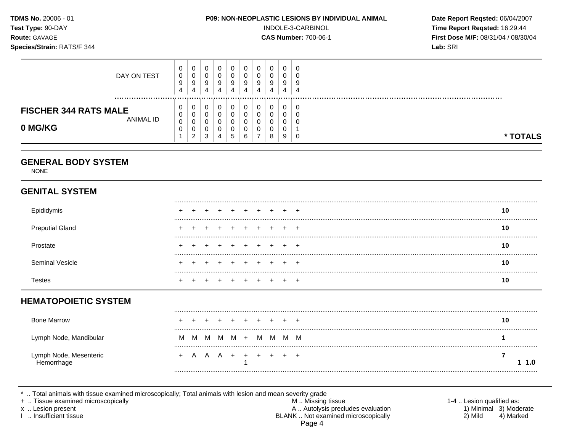|                                                      |                                                                            |                                                     |                                                      |                                                              |                                           |                                    |                                                            |                                         | P09: NON-NEOPLASTIC LESIONS BY INDIVIDUAL ANIMAL              |                                                           | Date Report Reqsted: 06/04/2007<br>Time Report Reqsted: 16:29:44<br>First Dose M/F: 08/31/04 / 08/30/04<br>Lab: SRI |
|------------------------------------------------------|----------------------------------------------------------------------------|-----------------------------------------------------|------------------------------------------------------|--------------------------------------------------------------|-------------------------------------------|------------------------------------|------------------------------------------------------------|-----------------------------------------|---------------------------------------------------------------|-----------------------------------------------------------|---------------------------------------------------------------------------------------------------------------------|
| 0<br>$\pmb{0}$<br>$\boldsymbol{9}$<br>$\overline{4}$ | $\mathsf{O}\xspace$<br>$\pmb{0}$<br>9<br>$\overline{4}$                    | 0<br>$\mathbf 0$<br>9<br>4                          | 0<br>$\pmb{0}$<br>$\boldsymbol{9}$<br>4              | $\mathbf 0$<br>$\mathbf 0$<br>$\boldsymbol{9}$<br>4          | 0<br>$\mathbf 0$<br>$\boldsymbol{9}$<br>4 | 0<br>$\mathbf 0$<br>9<br>4         | $\mathsf 0$<br>$\mathbf 0$<br>9<br>$\overline{\mathbf{4}}$ | $\pmb{0}$<br>$\mathbf 0$<br>9<br>4      | 0<br>$\Omega$<br>9<br>$\overline{4}$                          |                                                           |                                                                                                                     |
| 0<br>$\mathbf 0$<br>0<br>$\mathbf 0$<br>1            | $\mathbf 0$<br>$\mathbf 0$<br>$\mathbf 0$<br>$\mathbf 0$<br>$\overline{2}$ | $\mathbf 0$<br>$\mathbf 0$<br>$\mathbf 0$<br>0<br>3 | $\mathsf{O}\xspace$<br>0<br>0<br>0<br>$\overline{4}$ | $\mathbf 0$<br>$\mathbf 0$<br>$\mathbf 0$<br>0<br>$\sqrt{5}$ | 0<br>$\mathbf 0$<br>0<br>0<br>6           | 0<br>0<br>0<br>0<br>$\overline{7}$ | $\pmb{0}$<br>$\mathsf 0$<br>0<br>0<br>8                    | $\pmb{0}$<br>$\mathbf 0$<br>0<br>0<br>9 | $\mathbf 0$<br>$\mathbf 0$<br>$\mathbf 0$<br>$\mathbf 1$<br>0 |                                                           | * TOTALS                                                                                                            |
|                                                      |                                                                            |                                                     |                                                      |                                                              |                                           |                                    |                                                            |                                         |                                                               |                                                           |                                                                                                                     |
|                                                      |                                                                            |                                                     |                                                      |                                                              |                                           |                                    |                                                            |                                         |                                                               |                                                           |                                                                                                                     |
|                                                      |                                                                            |                                                     |                                                      |                                                              |                                           |                                    |                                                            |                                         |                                                               |                                                           | 10                                                                                                                  |
|                                                      |                                                                            |                                                     |                                                      |                                                              |                                           |                                    |                                                            |                                         |                                                               |                                                           | 10                                                                                                                  |
|                                                      |                                                                            |                                                     |                                                      |                                                              |                                           |                                    |                                                            |                                         |                                                               |                                                           | 10<br>                                                                                                              |
|                                                      |                                                                            |                                                     |                                                      |                                                              |                                           |                                    |                                                            |                                         |                                                               |                                                           | 10                                                                                                                  |
|                                                      |                                                                            |                                                     |                                                      |                                                              |                                           |                                    |                                                            |                                         |                                                               |                                                           | 10                                                                                                                  |
|                                                      |                                                                            |                                                     |                                                      |                                                              |                                           |                                    |                                                            |                                         |                                                               |                                                           |                                                                                                                     |
|                                                      |                                                                            |                                                     |                                                      |                                                              |                                           |                                    |                                                            |                                         |                                                               |                                                           | 10                                                                                                                  |
| M                                                    | M                                                                          |                                                     |                                                      |                                                              |                                           | M                                  |                                                            |                                         |                                                               |                                                           | 1                                                                                                                   |
|                                                      | A                                                                          |                                                     |                                                      |                                                              | $+$<br>1                                  | $+$                                | $+$                                                        |                                         |                                                               |                                                           | $\overline{7}$<br>1.0                                                                                               |
|                                                      |                                                                            |                                                     |                                                      | M                                                            | $A \quad A +$                             | M M +                              |                                                            |                                         |                                                               | INDOLE-3-CARBINOL<br><b>CAS Number: 700-06-1</b><br>M M M |                                                                                                                     |

\* .. Total animals with tissue examined microscopically; Total animals with lesion and mean severity grade<br>
+ .. Tissue examined microscopically<br>
x .. Lesion present<br>
1 .. Insufficient tissue<br>
1 .. Insufficient tissue<br>
1 . Page 4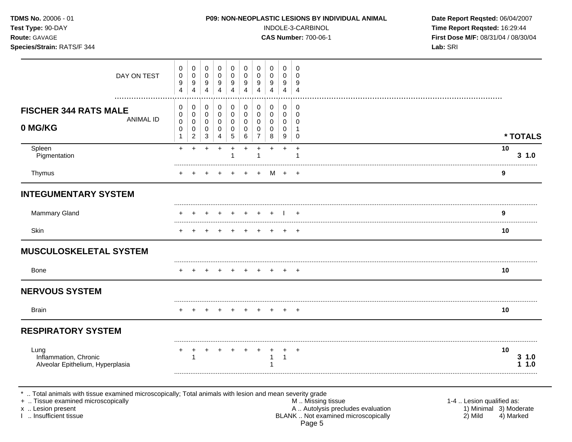| <b>TDMS No. 20006 - 01</b><br>Test Type: 90-DAY<br>Route: GAVAGE<br>Species/Strain: RATS/F 344                                                                   |                                 |                                             |                               |                               |                                |                                 |                               |                                 |                               | <b>P09: NON-NEOPLASTIC LESIONS BY INDIVIDUAL ANIMAL</b><br>INDOLE-3-CARBINOL<br><b>CAS Number: 700-06-1</b> | Date Report Reqsted: 06/04/2007<br>Time Report Reqsted: 16:29:44<br>First Dose M/F: 08/31/04 / 08/30/04<br>Lab: SRI |
|------------------------------------------------------------------------------------------------------------------------------------------------------------------|---------------------------------|---------------------------------------------|-------------------------------|-------------------------------|--------------------------------|---------------------------------|-------------------------------|---------------------------------|-------------------------------|-------------------------------------------------------------------------------------------------------------|---------------------------------------------------------------------------------------------------------------------|
| DAY ON TEST                                                                                                                                                      | 0<br>0<br>9<br>$\overline{4}$   | 0<br>0<br>9<br>4                            | 0<br>0<br>9<br>$\overline{4}$ | 0<br>0<br>9<br>$\overline{4}$ | 0<br>0<br>9<br>$\overline{4}$  | 0<br>0<br>9<br>$\overline{4}$   | 0<br>0<br>9<br>$\overline{4}$ | 0<br>0<br>9<br>4                | 0<br>0<br>9<br>$\overline{4}$ | 0<br>0<br>9<br>$\overline{4}$                                                                               |                                                                                                                     |
| <b>FISCHER 344 RATS MALE</b><br><b>ANIMAL ID</b><br>0 MG/KG                                                                                                      | 0<br>0<br>$\mathbf 0$<br>0<br>1 | 0<br>0<br>0<br>0<br>$\overline{\mathbf{c}}$ | 0<br>0<br>0<br>0<br>3         | 0<br>0<br>0<br>0<br>4         | 0<br>0<br>0<br>0<br>$\sqrt{5}$ | 0<br>0<br>$\mathbf 0$<br>0<br>6 | 0<br>0<br>0<br>0<br>7         | 0<br>0<br>$\mathbf 0$<br>0<br>8 | 0<br>0<br>0<br>0<br>9         | 0<br>0<br>∩<br>0                                                                                            | * TOTALS                                                                                                            |
| Spleen<br>Pigmentation                                                                                                                                           | $+$                             | $\ddot{}$                                   | $+$                           | $\ddot{}$                     | $+$                            | $\ddot{}$                       | $\ddot{}$<br>1                | $\ddot{}$                       | $+$                           | $+$                                                                                                         | 10<br>3 1.0                                                                                                         |
| Thymus                                                                                                                                                           |                                 |                                             |                               |                               |                                |                                 | $\pm$                         |                                 | M +                           | $+$                                                                                                         | 9                                                                                                                   |
| <b>INTEGUMENTARY SYSTEM</b>                                                                                                                                      |                                 |                                             |                               |                               |                                |                                 |                               |                                 |                               |                                                                                                             |                                                                                                                     |
| Mammary Gland                                                                                                                                                    |                                 |                                             |                               |                               |                                |                                 |                               |                                 |                               | $\overline{+}$                                                                                              | 9                                                                                                                   |
| Skin                                                                                                                                                             |                                 |                                             |                               |                               |                                |                                 |                               |                                 | $\div$                        | $^{+}$                                                                                                      | 10                                                                                                                  |
| <b>MUSCULOSKELETAL SYSTEM</b>                                                                                                                                    |                                 |                                             |                               |                               |                                |                                 |                               |                                 |                               |                                                                                                             |                                                                                                                     |
| Bone                                                                                                                                                             |                                 | $\ddot{}$                                   |                               | $+$                           | $+$                            | $+$                             | $+$                           |                                 | $+$ $+$                       |                                                                                                             | 10                                                                                                                  |
| <b>NERVOUS SYSTEM</b>                                                                                                                                            |                                 |                                             |                               |                               |                                |                                 |                               |                                 |                               |                                                                                                             |                                                                                                                     |
| <b>Brain</b>                                                                                                                                                     |                                 |                                             |                               | +                             |                                |                                 |                               |                                 | $\div$                        | $+$                                                                                                         | 10                                                                                                                  |
| <b>RESPIRATORY SYSTEM</b>                                                                                                                                        |                                 |                                             |                               |                               |                                |                                 |                               |                                 |                               |                                                                                                             |                                                                                                                     |
| Lung<br>Inflammation, Chronic<br>Alveolar Epithelium, Hyperplasia                                                                                                |                                 | 1                                           |                               |                               |                                |                                 |                               |                                 | -1                            |                                                                                                             | 10<br>$3 \t1.0$<br>1.0                                                                                              |
| Total animals with tissue examined microscopically; Total animals with lesion and mean severity grade<br>+  Tissue examined microscopically<br>x  Lesion present |                                 |                                             |                               |                               |                                |                                 |                               |                                 |                               | M  Missing tissue<br>A  Autolysis precludes evaluation                                                      | 1-4  Lesion qualified as:<br>1) Minimal 3) Moderate                                                                 |

I .. Insufficient tissue BLANK .. Not examined microscopically 2) Mild 4) Marked Page 5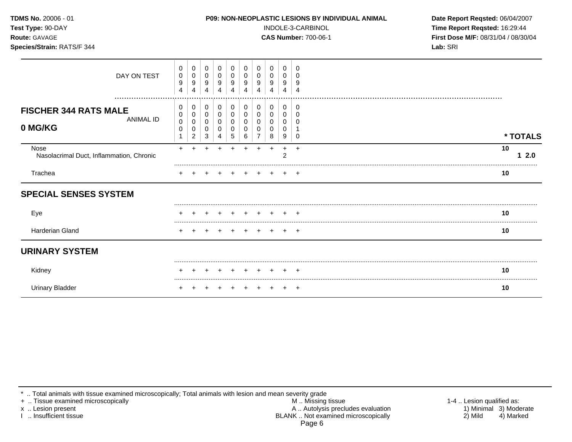| <b>TDMS No. 20006 - 01</b><br>Test Type: 90-DAY<br>Route: GAVAGE<br>Species/Strain: RATS/F 344 |                  |                                    |                            |                       |                                 |                               |                                                        |                                 |                       |                                          | <b>P09: NON-NEOPLASTIC LESIONS BY INDIVIDUAL ANIMAL</b><br>INDOLE-3-CARBINOL<br><b>CAS Number: 700-06-1</b> | Date Report Reqsted: 06/04/2007<br>Time Report Reqsted: 16:29:44<br>First Dose M/F: 08/31/04 / 08/30/04<br>Lab: SRI |          |
|------------------------------------------------------------------------------------------------|------------------|------------------------------------|----------------------------|-----------------------|---------------------------------|-------------------------------|--------------------------------------------------------|---------------------------------|-----------------------|------------------------------------------|-------------------------------------------------------------------------------------------------------------|---------------------------------------------------------------------------------------------------------------------|----------|
| DAY ON TEST                                                                                    | 0<br>0<br>9<br>4 | 0<br>0<br>9<br>$\overline{4}$      | 0<br>$\mathbf 0$<br>9<br>4 | 0<br>0<br>9<br>4      | 0<br>0<br>$\boldsymbol{9}$<br>4 | 0<br>0<br>9<br>$\overline{4}$ | 0<br>$\mathbf 0$<br>9<br>4                             | 0<br>0<br>9<br>4                | 0<br>0<br>9<br>4      | 0<br>∩<br>9<br>$\overline{4}$            |                                                                                                             |                                                                                                                     |          |
| <b>FISCHER 344 RATS MALE</b><br><b>ANIMAL ID</b><br>0 MG/KG                                    | 0<br>0<br>0<br>0 | 0<br>0<br>0<br>0<br>$\overline{2}$ | 0<br>0<br>0<br>0<br>3      | 0<br>0<br>0<br>0<br>4 | 0<br>0<br>0<br>0<br>$\sqrt{5}$  | $\pmb{0}$<br>0<br>0<br>0<br>6 | 0<br>$\mathbf 0$<br>$\mathbf 0$<br>0<br>$\overline{7}$ | $\mathbf 0$<br>0<br>0<br>0<br>8 | 0<br>0<br>0<br>0<br>9 | 0<br>$\Omega$<br>$\Omega$<br>$\mathbf 0$ |                                                                                                             |                                                                                                                     | * TOTALS |
| Nose<br>Nasolacrimal Duct, Inflammation, Chronic                                               | $+$              |                                    |                            |                       |                                 |                               |                                                        | $\div$                          | $+$<br>2              | $\ddot{}$                                |                                                                                                             | 10                                                                                                                  | 12.0     |
| Trachea                                                                                        |                  |                                    |                            |                       |                                 |                               |                                                        |                                 |                       | $\overline{ }$                           |                                                                                                             | 10                                                                                                                  |          |
| <b>SPECIAL SENSES SYSTEM</b>                                                                   |                  |                                    |                            |                       |                                 |                               |                                                        |                                 |                       |                                          |                                                                                                             |                                                                                                                     |          |
| Eye                                                                                            |                  |                                    |                            |                       |                                 |                               |                                                        |                                 |                       |                                          |                                                                                                             | 10                                                                                                                  |          |
| Harderian Gland                                                                                |                  |                                    |                            | $+$                   |                                 | $+ + + +$                     |                                                        |                                 |                       | $+$ $+$                                  |                                                                                                             | 10                                                                                                                  |          |
| <b>URINARY SYSTEM</b>                                                                          |                  |                                    |                            |                       |                                 |                               |                                                        |                                 |                       |                                          |                                                                                                             |                                                                                                                     |          |
| Kidney                                                                                         |                  |                                    |                            |                       |                                 |                               |                                                        |                                 |                       |                                          |                                                                                                             | 10                                                                                                                  |          |
| <b>Urinary Bladder</b>                                                                         |                  |                                    |                            |                       |                                 |                               |                                                        |                                 |                       | $\overline{ }$                           |                                                                                                             | 10                                                                                                                  |          |

+ .. Tissue examined microscopically M .. Missing tissue 1-4 .. Lesion qualified as: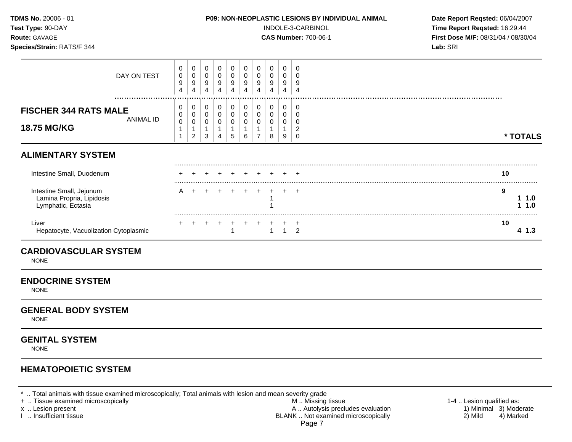| TDMS No. 20006 - 01<br>Test Type: 90-DAY<br>Route: GAVAGE<br>Species/Strain: RATS/F 344 |                                         |                                    |                                 |                                                        |                                                                    |                                          |                                              |                                            |                                                      | INDOLE-3-CARBINOL<br><b>CAS Number: 700-06-1</b> | P09: NON-NEOPLASTIC LESIONS BY INDIVIDUAL ANIMAL | Date Report Reqsted: 06/04/2007<br>Time Report Reqsted: 16:29:44<br>First Dose M/F: 08/31/04 / 08/30/04<br>Lab: SRI |
|-----------------------------------------------------------------------------------------|-----------------------------------------|------------------------------------|---------------------------------|--------------------------------------------------------|--------------------------------------------------------------------|------------------------------------------|----------------------------------------------|--------------------------------------------|------------------------------------------------------|--------------------------------------------------|--------------------------------------------------|---------------------------------------------------------------------------------------------------------------------|
| DAY ON TEST                                                                             | 0<br>$\mathbf 0$<br>9<br>4              | 0<br>0<br>9<br>4                   | 0<br>0<br>9<br>4                | 0<br>$\mathbf 0$<br>$\boldsymbol{9}$<br>$\overline{4}$ | 0<br>$\mathbf 0$<br>$\boldsymbol{9}$<br>$\overline{4}$             | 0<br>0<br>9<br>4                         | 0<br>$\mathbf 0$<br>9<br>$\overline{4}$      | 0<br>$\mathbf 0$<br>9<br>4                 | 0<br>$\mathbf 0$<br>9<br>4                           | 0<br>$\Omega$<br>9<br>$\overline{4}$             |                                                  |                                                                                                                     |
| <b>FISCHER 344 RATS MALE</b><br><b>ANIMAL ID</b><br>18.75 MG/KG                         | 0<br>0<br>$\pmb{0}$<br>$\mathbf 1$<br>1 | 0<br>0<br>0<br>1<br>$\overline{2}$ | 0<br>$\mathbf 0$<br>0<br>1<br>3 | 0<br>0<br>$\mathbf 0$<br>$\mathbf{1}$<br>4             | 0<br>$\mathbf 0$<br>$\mathbf 0$<br>$\mathbf{1}$<br>$5\phantom{.0}$ | 0<br>0<br>$\pmb{0}$<br>$\mathbf{1}$<br>6 | 0<br>0<br>$\mathbf 0$<br>1<br>$\overline{7}$ | 0<br>$\mathbf 0$<br>0<br>$\mathbf{1}$<br>8 | 0<br>$\mathbf 0$<br>$\mathbf 0$<br>$\mathbf{1}$<br>9 | 0<br>0<br>$\Omega$<br>2<br>$\mathbf 0$           |                                                  | * TOTALS                                                                                                            |
| <b>ALIMENTARY SYSTEM</b>                                                                |                                         |                                    |                                 |                                                        |                                                                    |                                          |                                              |                                            |                                                      |                                                  |                                                  |                                                                                                                     |
| Intestine Small, Duodenum                                                               |                                         |                                    |                                 |                                                        |                                                                    |                                          |                                              |                                            |                                                      |                                                  |                                                  | 10                                                                                                                  |
| Intestine Small, Jejunum<br>Lamina Propria, Lipidosis<br>Lymphatic, Ectasia             | A                                       |                                    |                                 |                                                        |                                                                    |                                          |                                              | -1                                         |                                                      | $+$                                              |                                                  | 9<br>11.0<br>11.0                                                                                                   |
| Liver<br>Hepatocyte, Vacuolization Cytoplasmic                                          |                                         |                                    |                                 |                                                        | $\overline{1}$                                                     |                                          |                                              | $\mathbf{1}$                               | $\overline{1}$                                       | $\overline{ }$<br>$\mathcal{P}$                  |                                                  | 10<br>41.3                                                                                                          |
| <b>CARDIOVASCULAR SYSTEM</b><br><b>NONE</b>                                             |                                         |                                    |                                 |                                                        |                                                                    |                                          |                                              |                                            |                                                      |                                                  |                                                  |                                                                                                                     |
| <b>ENDOCRINE SYSTEM</b><br><b>NONE</b>                                                  |                                         |                                    |                                 |                                                        |                                                                    |                                          |                                              |                                            |                                                      |                                                  |                                                  |                                                                                                                     |
| <b>GENERAL BODY SYSTEM</b><br><b>NONE</b>                                               |                                         |                                    |                                 |                                                        |                                                                    |                                          |                                              |                                            |                                                      |                                                  |                                                  |                                                                                                                     |
| <b>GENITAL SYSTEM</b>                                                                   |                                         |                                    |                                 |                                                        |                                                                    |                                          |                                              |                                            |                                                      |                                                  |                                                  |                                                                                                                     |

NONE

## **HEMATOPOIETIC SYSTEM**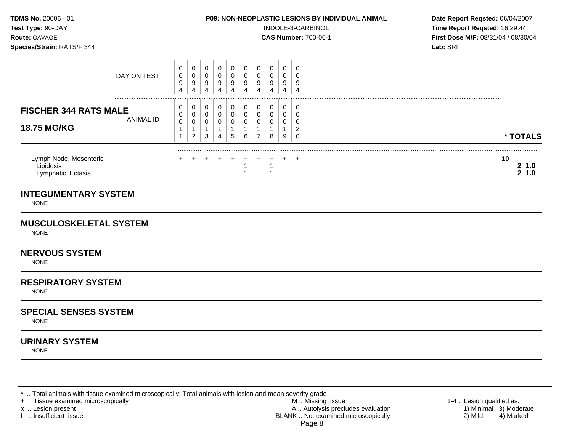#### **TDMS No.** 20006 - 01 **P09: NON-NEOPLASTIC LESIONS BY INDIVIDUAL ANIMAL Date Report Reqsted:** 06/04/2007

**Test Type:**  $90-DAY$  **INDOLE-3-CARBINOL Time Report Reqsted: 16:29:44 Route:** GAVAGE **CAS Number:** 700-06-1 **First Dose M/F:** 08/31/04 / 08/30/04 **Species/Strain:** RATS/F 344 **Lab:** SRI

| DAY ON TEST                                                                              | υ<br>0<br>9<br>4      | 0<br>0<br>9<br>4              | 0<br>0<br>9<br>4 | 9<br>4 | 0<br>0<br>9<br>4 | 0<br>0<br>9<br>4 | U<br>9 | 0<br>0<br>9<br>4 | 0<br>0<br>9<br>4 | 9<br>4 |                          |
|------------------------------------------------------------------------------------------|-----------------------|-------------------------------|------------------|--------|------------------|------------------|--------|------------------|------------------|--------|--------------------------|
| <br><b>FISCHER 344 RATS MALE</b><br>ANIMAL ID<br><b>18.75 MG/KG</b>                      | 0<br>0<br>$\mathbf 0$ | 0<br>0<br>0<br>$\overline{2}$ | 0<br>0<br>0<br>3 | 0<br>4 | 0<br>0<br>5      | 0<br>0<br>0<br>6 | 0<br>U | 0<br>0<br>0<br>8 | 0<br>0<br>0<br>9 | c      | * TOTALS                 |
| Lymph Node, Mesenteric<br>Lipidosis<br>Lymphatic, Ectasia<br><b>INTEGUMENTARY SYSTEM</b> | $\pm$                 |                               |                  |        |                  |                  |        |                  |                  | $\pm$  | 10<br>$2 \t1.0$<br>2 1.0 |

NONE

#### **MUSCULOSKELETAL SYSTEM**

NONE

#### **NERVOUS SYSTEM**

NONE

#### **RESPIRATORY SYSTEM**

NONE

#### **SPECIAL SENSES SYSTEM**

NONE

#### **URINARY SYSTEM**

NONE

\* .. Total animals with tissue examined microscopically; Total animals with lesion and mean severity grade<br>+ .. Tissue examined microscopically

+ .. Tissue examined microscopically the state of the state of the M .. Missing tissue 1-4 .. Lesion qualified as:

x .. Lesion present The Control of the Mathematic Control of A .. Autolysis precludes evaluation (and the Minimal 3) Moderate<br>A .. Autolysis precludes evaluation (and the Minimal 3) Moderate<br>BLANK .. Not examined microscop BLANK .. Not examined microscopically Page 8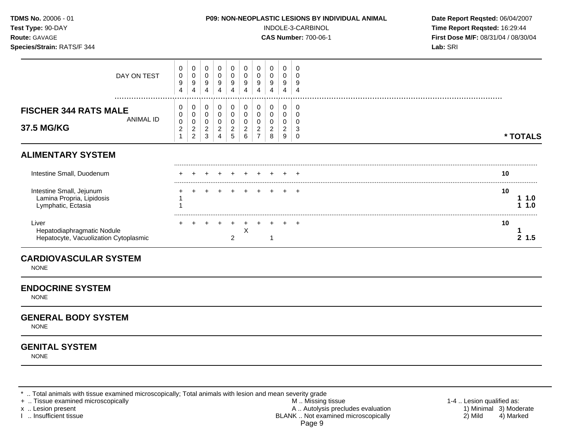| TDMS No. 20006 - 01<br>Test Type: 90-DAY<br>Route: GAVAGE<br>Species/Strain: RATS/F 344 |                                            |                                    |                              |                                                          | P09: NON-NEOPLASTIC LESIONS BY INDIVIDUAL ANIMAL |                                            |                                                           | INDOLE-3-CARBINOL<br><b>CAS Number: 700-06-1</b> | Date Report Reqsted: 06/04/2007<br>Time Report Reqsted: 16:29:44<br>First Dose M/F: 08/31/04 / 08/30/04<br>Lab: SRI |                                                       |  |                   |
|-----------------------------------------------------------------------------------------|--------------------------------------------|------------------------------------|------------------------------|----------------------------------------------------------|--------------------------------------------------|--------------------------------------------|-----------------------------------------------------------|--------------------------------------------------|---------------------------------------------------------------------------------------------------------------------|-------------------------------------------------------|--|-------------------|
| DAY ON TEST                                                                             | 0<br>0<br>9<br>$\overline{4}$              | 0<br>0<br>9<br>4                   | 0<br>0<br>9<br>4             | 0<br>0<br>9<br>4                                         | 0<br>0<br>9<br>4                                 | 0<br>0<br>9<br>4                           | 0<br>0<br>9<br>4                                          | 0<br>0<br>9<br>4                                 | 0<br>0<br>9<br>4                                                                                                    | $\Omega$<br>$\Omega$<br>9<br>$\overline{\mathcal{L}}$ |  |                   |
| <b>FISCHER 344 RATS MALE</b><br><b>ANIMAL ID</b><br>37.5 MG/KG                          | 0<br>0<br>$\pmb{0}$<br>$\overline{c}$<br>1 | 0<br>0<br>0<br>2<br>$\overline{c}$ | 0<br>0<br>$\Omega$<br>2<br>3 | 0<br>0<br>0<br>$\overline{\mathbf{c}}$<br>$\overline{A}$ | 0<br>0<br>0<br>$\overline{a}$<br>5               | 0<br>$\pmb{0}$<br>0<br>$\overline{c}$<br>6 | 0<br>0<br>$\mathbf 0$<br>$\overline{c}$<br>$\overline{7}$ | 0<br>0<br>0<br>2<br>8                            | 0<br>0<br>0<br>2<br>9                                                                                               | 0<br>$\Omega$<br>$\Omega$<br>3<br>0                   |  | * TOTALS          |
| <b>ALIMENTARY SYSTEM</b>                                                                |                                            |                                    |                              |                                                          |                                                  |                                            |                                                           |                                                  |                                                                                                                     |                                                       |  |                   |
| Intestine Small, Duodenum                                                               |                                            |                                    |                              |                                                          |                                                  |                                            |                                                           |                                                  |                                                                                                                     |                                                       |  | 10                |
| Intestine Small, Jejunum<br>Lamina Propria, Lipidosis<br>Lymphatic, Ectasia             |                                            |                                    |                              |                                                          |                                                  |                                            |                                                           |                                                  |                                                                                                                     | $+$ $+$                                               |  | 10<br>11.0<br>1.0 |
| Liver<br>Hepatodiaphragmatic Nodule<br>Hepatocyte, Vacuolization Cytoplasmic            |                                            |                                    |                              |                                                          | $\overline{2}$                                   | +<br>X                                     |                                                           |                                                  |                                                                                                                     |                                                       |  | 10<br>2, 1.5      |

## **ENDOCRINE SYSTEM**

NONE

#### **GENERAL BODY SYSTEM**

NONE

## **GENITAL SYSTEM**

NONE

\* .. Total animals with tissue examined microscopically; Total animals with lesion and mean severity grade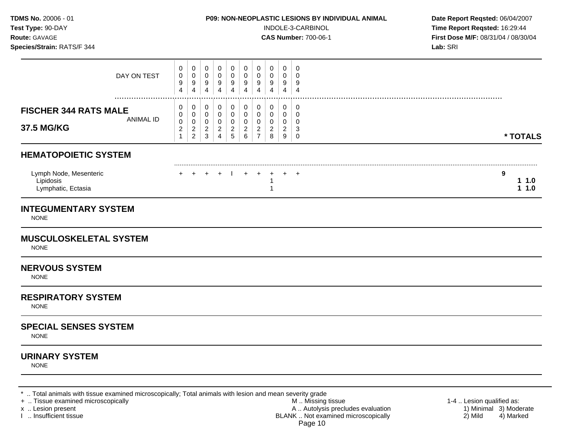| TDMS No. 20006 - 01<br>Test Type: 90-DAY<br>Route: GAVAGE<br>Species/Strain: RATS/F 344 |                                                         |                                                           |                                                       |                                                         |                                                               |                                                        |                                                           |                                    |                                                           | P09: NON-NEOPLASTIC LESIONS BY INDIVIDUAL ANIMAL<br>INDOLE-3-CARBINOL<br><b>CAS Number: 700-06-1</b> | Date Report Reqsted: 06/04/2007<br>Time Report Reqsted: 16:29:44<br>First Dose M/F: 08/31/04 / 08/30/04<br>Lab: SRI |
|-----------------------------------------------------------------------------------------|---------------------------------------------------------|-----------------------------------------------------------|-------------------------------------------------------|---------------------------------------------------------|---------------------------------------------------------------|--------------------------------------------------------|-----------------------------------------------------------|------------------------------------|-----------------------------------------------------------|------------------------------------------------------------------------------------------------------|---------------------------------------------------------------------------------------------------------------------|
| DAY ON TEST                                                                             | 0<br>$\pmb{0}$<br>9<br>$\overline{4}$                   | 0<br>$\mathbf 0$<br>9<br>4                                | 0<br>0<br>9<br>$\overline{4}$                         | $\mathbf 0$<br>$\mathbf 0$<br>9<br>$\overline{4}$       | 0<br>$\mathbf 0$<br>9<br>$\overline{4}$                       | 0<br>0<br>9<br>$\overline{\mathbf{4}}$                 | $\mathbf 0$<br>0<br>9<br>4                                | 0<br>0<br>9<br>4                   | 0<br>0<br>9<br>$\overline{4}$                             | 0<br>0<br>9<br>$\overline{4}$                                                                        |                                                                                                                     |
| <b>FISCHER 344 RATS MALE</b><br><b>ANIMAL ID</b><br>37.5 MG/KG                          | 0<br>0<br>$\mathbf 0$<br>$\overline{c}$<br>$\mathbf{1}$ | 0<br>0<br>$\mathbf 0$<br>$\overline{c}$<br>$\overline{a}$ | $\mathbf 0$<br>0<br>0<br>$\overline{2}$<br>$\sqrt{3}$ | 0<br>0<br>$\pmb{0}$<br>$\overline{c}$<br>$\overline{4}$ | 0<br>$\pmb{0}$<br>$\mathbf 0$<br>$\overline{c}$<br>$\sqrt{5}$ | 0<br>$\mathbf 0$<br>$\mathbf 0$<br>$\overline{2}$<br>6 | 0<br>$\mathbf 0$<br>0<br>$\overline{c}$<br>$\overline{7}$ | 0<br>0<br>0<br>$\overline{c}$<br>8 | 0<br>0<br>$\pmb{0}$<br>$\overline{2}$<br>$\boldsymbol{9}$ | 0<br>0<br>0<br>3<br>$\pmb{0}$                                                                        | * TOTALS                                                                                                            |
| <b>HEMATOPOIETIC SYSTEM</b>                                                             |                                                         |                                                           |                                                       |                                                         |                                                               |                                                        |                                                           |                                    |                                                           |                                                                                                      |                                                                                                                     |
| Lymph Node, Mesenteric<br>Lipidosis<br>Lymphatic, Ectasia                               |                                                         |                                                           | $+$                                                   | $+$                                                     |                                                               | $+$                                                    | $+$                                                       | $\ddot{}$<br>1<br>1                | $+$                                                       | - +                                                                                                  | 9<br>11.0<br>11.0                                                                                                   |
| <b>INTEGUMENTARY SYSTEM</b><br><b>NONE</b>                                              |                                                         |                                                           |                                                       |                                                         |                                                               |                                                        |                                                           |                                    |                                                           |                                                                                                      |                                                                                                                     |
| <b>MUSCULOSKELETAL SYSTEM</b><br><b>NONE</b>                                            |                                                         |                                                           |                                                       |                                                         |                                                               |                                                        |                                                           |                                    |                                                           |                                                                                                      |                                                                                                                     |
| <b>NERVOUS SYSTEM</b><br><b>NONE</b>                                                    |                                                         |                                                           |                                                       |                                                         |                                                               |                                                        |                                                           |                                    |                                                           |                                                                                                      |                                                                                                                     |
| <b>RESPIRATORY SYSTEM</b><br><b>NONE</b>                                                |                                                         |                                                           |                                                       |                                                         |                                                               |                                                        |                                                           |                                    |                                                           |                                                                                                      |                                                                                                                     |
| <b>SPECIAL SENSES SYSTEM</b><br><b>NONE</b>                                             |                                                         |                                                           |                                                       |                                                         |                                                               |                                                        |                                                           |                                    |                                                           |                                                                                                      |                                                                                                                     |
| <b>URINARY SYSTEM</b><br><b>NONE</b>                                                    |                                                         |                                                           |                                                       |                                                         |                                                               |                                                        |                                                           |                                    |                                                           |                                                                                                      |                                                                                                                     |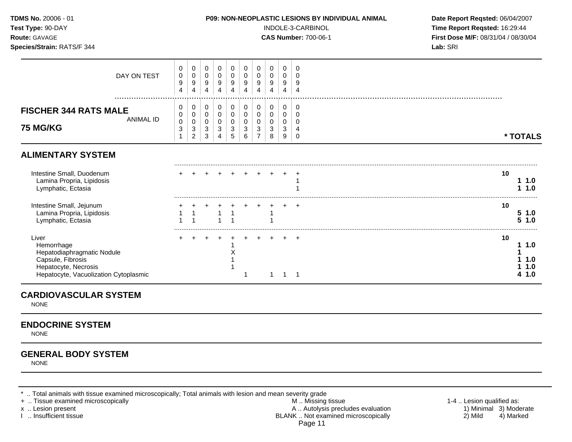| <b>TDMS No. 20006 - 01</b><br>Test Type: 90-DAY<br>Route: GAVAGE<br>Species/Strain: RATS/F 344                                          |                  |                            |                                                     |                       |                       |                       |                       |                                    |                                 |                                 |                            | P09: NON-NEOPLASTIC LESIONS BY INDIVIDUAL ANIMAL<br>INDOLE-3-CARBINOL<br><b>CAS Number: 700-06-1</b> | Date Report Reqsted: 06/04/2007<br>Time Report Reqsted: 16:29:44<br>First Dose M/F: 08/31/04 / 08/30/04<br>Lab: SRI |
|-----------------------------------------------------------------------------------------------------------------------------------------|------------------|----------------------------|-----------------------------------------------------|-----------------------|-----------------------|-----------------------|-----------------------|------------------------------------|---------------------------------|---------------------------------|----------------------------|------------------------------------------------------------------------------------------------------|---------------------------------------------------------------------------------------------------------------------|
| DAY ON TEST                                                                                                                             |                  | 0<br>0<br>9<br>4           | 0<br>0<br>9<br>4                                    | 0<br>0<br>9<br>4      | 0<br>0<br>9<br>4      | 0<br>0<br>9<br>4      | 0<br>0<br>9<br>4      | 0<br>0<br>9<br>4                   | 0<br>0<br>$\boldsymbol{9}$<br>4 | 0<br>0<br>9<br>4                | 0<br>9<br>$\overline{4}$   |                                                                                                      |                                                                                                                     |
| <b>FISCHER 344 RATS MALE</b><br><b>75 MG/KG</b>                                                                                         | <b>ANIMAL ID</b> | $\mathbf 0$<br>0<br>0<br>3 | 0<br>0<br>$\pmb{0}$<br>$\sqrt{3}$<br>$\overline{c}$ | 0<br>0<br>0<br>3<br>3 | 0<br>0<br>0<br>3<br>4 | 0<br>0<br>0<br>3<br>5 | 0<br>0<br>0<br>3<br>6 | 0<br>0<br>0<br>3<br>$\overline{7}$ | 0<br>0<br>0<br>3<br>8           | $\mathbf 0$<br>0<br>0<br>3<br>9 | $\mathbf 0$<br>0<br>0<br>0 |                                                                                                      | * TOTALS                                                                                                            |
| <b>ALIMENTARY SYSTEM</b>                                                                                                                |                  |                            |                                                     |                       |                       |                       |                       |                                    |                                 |                                 |                            |                                                                                                      |                                                                                                                     |
| Intestine Small, Duodenum<br>Lamina Propria, Lipidosis<br>Lymphatic, Ectasia                                                            |                  |                            |                                                     |                       |                       |                       |                       |                                    |                                 |                                 |                            |                                                                                                      | 10<br>1.0<br>1.0                                                                                                    |
| Intestine Small, Jejunum<br>Lamina Propria, Lipidosis<br>Lymphatic, Ectasia                                                             |                  |                            |                                                     |                       |                       |                       |                       |                                    |                                 |                                 |                            |                                                                                                      | 10<br>51.0<br>$5 \; 1.0$                                                                                            |
| Liver<br>Hemorrhage<br>Hepatodiaphragmatic Nodule<br>Capsule, Fibrosis<br>Hepatocyte, Necrosis<br>Hepatocyte, Vacuolization Cytoplasmic |                  |                            |                                                     |                       |                       |                       |                       |                                    |                                 |                                 |                            |                                                                                                      | 10<br>1.0<br>1.0<br>1.0<br>1.0                                                                                      |

#### **CARDIOVASCULAR SYSTEM**

NONE

## **ENDOCRINE SYSTEM**

NONE

## **GENERAL BODY SYSTEM**

NONE

\* .. Total animals with tissue examined microscopically; Total animals with lesion and mean severity grade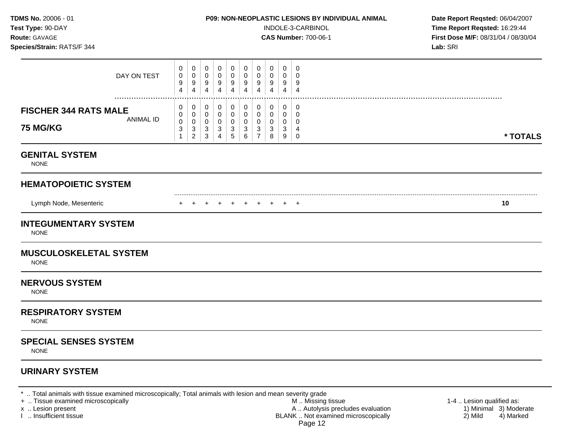| TDMS No. 20006 - 01<br>Test Type: 90-DAY<br>Route: GAVAGE<br>Species/Strain: RATS/F 344 |                                            |                                    |                       |                                         |                                                |                                 |                                                         |                                 |                       | P09: NON-NEOPLASTIC LESIONS BY INDIVIDUAL ANIMAL<br>INDOLE-3-CARBINOL<br><b>CAS Number: 700-06-1</b> | Date Report Reqsted: 06/04/2007<br>Time Report Reqsted: 16:29:44<br>First Dose M/F: 08/31/04 / 08/30/04<br>Lab: SRI |
|-----------------------------------------------------------------------------------------|--------------------------------------------|------------------------------------|-----------------------|-----------------------------------------|------------------------------------------------|---------------------------------|---------------------------------------------------------|---------------------------------|-----------------------|------------------------------------------------------------------------------------------------------|---------------------------------------------------------------------------------------------------------------------|
| DAY ON TEST                                                                             | 0<br>$\mathbf 0$<br>9<br>4                 | 0<br>0<br>9<br>4                   | 0<br>0<br>9<br>4      | 0<br>$\mathbf 0$<br>9<br>$\overline{4}$ | 0<br>0<br>$9\,$<br>4                           | 0<br>0<br>9<br>$\overline{4}$   | 0<br>$\mathbf 0$<br>9<br>4                              | 0<br>0<br>9<br>4                | 0<br>0<br>9<br>4      | 0<br>$\Omega$<br>9<br>$\overline{4}$                                                                 |                                                                                                                     |
| <b>FISCHER 344 RATS MALE</b><br>ANIMAL ID<br><b>75 MG/KG</b>                            | 0<br>0<br>$\mathbf 0$<br>3<br>$\mathbf{1}$ | 0<br>0<br>0<br>3<br>$\overline{c}$ | 0<br>0<br>0<br>3<br>3 | 0<br>0<br>0<br>$\sqrt{3}$<br>4          | 0<br>0<br>0<br>$\mathbf{3}$<br>$5\phantom{.0}$ | 0<br>0<br>$\mathbf 0$<br>3<br>6 | 0<br>0<br>$\mathbf 0$<br>$\mathbf{3}$<br>$\overline{7}$ | $\mathbf 0$<br>0<br>0<br>3<br>8 | 0<br>0<br>0<br>3<br>9 | 0<br>$\Omega$<br>$\Omega$<br>4<br>0                                                                  | * TOTALS                                                                                                            |
| <b>GENITAL SYSTEM</b><br><b>NONE</b>                                                    |                                            |                                    |                       |                                         |                                                |                                 |                                                         |                                 |                       |                                                                                                      |                                                                                                                     |
| <b>HEMATOPOIETIC SYSTEM</b>                                                             |                                            |                                    |                       |                                         |                                                |                                 |                                                         |                                 |                       |                                                                                                      |                                                                                                                     |
| Lymph Node, Mesenteric                                                                  |                                            |                                    |                       | $+$ $+$ $+$                             |                                                |                                 | $+$ $+$                                                 | $+$                             | + +                   |                                                                                                      | 10                                                                                                                  |
| <b>INTEGUMENTARY SYSTEM</b><br><b>NONE</b>                                              |                                            |                                    |                       |                                         |                                                |                                 |                                                         |                                 |                       |                                                                                                      |                                                                                                                     |
| <b>MUSCULOSKELETAL SYSTEM</b><br><b>NONE</b>                                            |                                            |                                    |                       |                                         |                                                |                                 |                                                         |                                 |                       |                                                                                                      |                                                                                                                     |
| <b>NERVOUS SYSTEM</b><br><b>NONE</b>                                                    |                                            |                                    |                       |                                         |                                                |                                 |                                                         |                                 |                       |                                                                                                      |                                                                                                                     |
| <b>RESPIRATORY SYSTEM</b><br><b>NONE</b>                                                |                                            |                                    |                       |                                         |                                                |                                 |                                                         |                                 |                       |                                                                                                      |                                                                                                                     |
| <b>SPECIAL SENSES SYSTEM</b><br><b>NONE</b>                                             |                                            |                                    |                       |                                         |                                                |                                 |                                                         |                                 |                       |                                                                                                      |                                                                                                                     |
| <b>URINARY SYSTEM</b>                                                                   |                                            |                                    |                       |                                         |                                                |                                 |                                                         |                                 |                       |                                                                                                      |                                                                                                                     |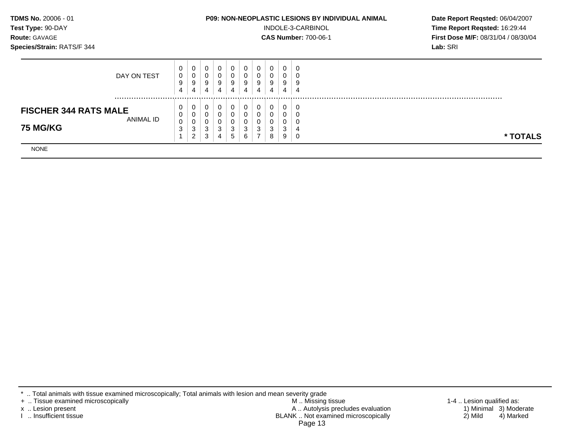| TDMS No. 20006 - 01          |        |                  |        |           |             |              |        |        |        | <b>P09: NON-NEOPLASTIC LESIONS BY INDIVIDUAL ANIMAL</b> | Date Report Regsted: 06/04/2007     |
|------------------------------|--------|------------------|--------|-----------|-------------|--------------|--------|--------|--------|---------------------------------------------------------|-------------------------------------|
| Test Type: 90-DAY            |        |                  |        |           |             |              |        |        |        | INDOLE-3-CARBINOL                                       | Time Report Reqsted: 16:29:44       |
| Route: GAVAGE                |        |                  |        |           |             |              |        |        |        | <b>CAS Number: 700-06-1</b>                             | First Dose M/F: 08/31/04 / 08/30/04 |
| Species/Strain: RATS/F 344   |        |                  |        |           |             |              |        |        |        |                                                         | Lab: SRI                            |
|                              | 0      | $\overline{0}$   | 0      | 0         | 0           | $\mathbf{0}$ | 0      | 0      |        | 0                                                       |                                     |
| DAY ON TEST                  | 0      | $\mathbf 0$      |        | $\pmb{0}$ | $\mathbf 0$ | 0            | 0      | 0      | 0      | 0                                                       |                                     |
|                              | 9<br>4 | 9<br>4           | 9<br>4 | 9<br>4    | 9<br>4      | 9<br>4       | 9<br>4 | 9<br>4 | 9<br>4 | 9<br>$\overline{4}$                                     |                                     |
| <b>FISCHER 344 RATS MALE</b> | 0      |                  |        | 0         | 0           | 0            | 0      | 0      |        | 0                                                       |                                     |
| ANIMAL ID                    | 0      |                  |        | $\Omega$  | 0           | 0            | 0      | 0      | 0      | 0                                                       |                                     |
| <b>75 MG/KG</b>              | 0<br>3 | $\mathbf 0$<br>3 | 3      | 3         | 0<br>3      | 0<br>3       | 0<br>3 | 0<br>3 | 0<br>3 | 0<br>4                                                  |                                     |
|                              |        | $\overline{2}$   | 3      | 4         | 5           | 6            |        | 8      | 9      | 0                                                       | * TOTALS                            |
| <b>NONE</b>                  |        |                  |        |           |             |              |        |        |        |                                                         |                                     |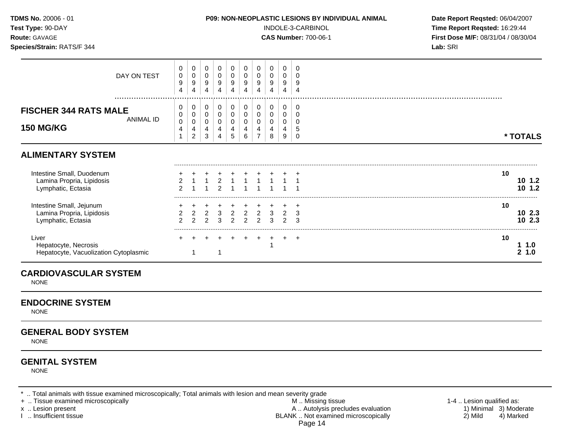| <b>TDMS No. 20006 - 01</b><br>Test Type: 90-DAY<br>Route: GAVAGE<br>Species/Strain: RATS/F 344 |                  |                                       |                                    |                                 |                                  |                                                             |                                 |                                                    |                                                        |                                 |                               | P09: NON-NEOPLASTIC LESIONS BY INDIVIDUAL ANIMAL<br>INDOLE-3-CARBINOL<br><b>CAS Number: 700-06-1</b> | Date Report Reqsted: 06/04/2007<br>Time Report Reqsted: 16:29:44<br>First Dose M/F: 08/31/04 / 08/30/04<br>Lab: SRI |                   |
|------------------------------------------------------------------------------------------------|------------------|---------------------------------------|------------------------------------|---------------------------------|----------------------------------|-------------------------------------------------------------|---------------------------------|----------------------------------------------------|--------------------------------------------------------|---------------------------------|-------------------------------|------------------------------------------------------------------------------------------------------|---------------------------------------------------------------------------------------------------------------------|-------------------|
|                                                                                                | DAY ON TEST      | 0<br>$\pmb{0}$<br>9<br>$\overline{4}$ | 0<br>$\pmb{0}$<br>9<br>4           | 0<br>$\mathbf 0$<br>9<br>4      | 0<br>0<br>9<br>4                 | 0<br>$\pmb{0}$<br>9<br>$\overline{4}$                       | 0<br>0<br>9<br>$\overline{4}$   | 0<br>$\pmb{0}$<br>9<br>$\overline{4}$              | 0<br>$\mathbf 0$<br>$\boldsymbol{9}$<br>$\overline{4}$ | 0<br>0<br>9<br>4                | 0<br>0<br>9<br>$\overline{4}$ |                                                                                                      |                                                                                                                     |                   |
| <b>FISCHER 344 RATS MALE</b><br><b>150 MG/KG</b>                                               | <b>ANIMAL ID</b> | 0<br>0<br>$\pmb{0}$<br>4              | 0<br>0<br>0<br>4<br>$\overline{2}$ | 0<br>0<br>0<br>4<br>3           | 0<br>0<br>0<br>4<br>4            | 0<br>$\pmb{0}$<br>$\pmb{0}$<br>$\overline{\mathbf{4}}$<br>5 | 0<br>0<br>$\mathbf 0$<br>4<br>6 | 0<br>$\pmb{0}$<br>$\pmb{0}$<br>4<br>$\overline{7}$ | 0<br>$\pmb{0}$<br>0<br>4<br>8                          | 0<br>0<br>0<br>4<br>9           | 0<br>0<br>0<br>5<br>$\Omega$  |                                                                                                      |                                                                                                                     | * TOTALS          |
| <b>ALIMENTARY SYSTEM</b>                                                                       |                  |                                       |                                    |                                 |                                  |                                                             |                                 |                                                    |                                                        |                                 |                               |                                                                                                      |                                                                                                                     |                   |
| Intestine Small, Duodenum<br>Lamina Propria, Lipidosis<br>Lymphatic, Ectasia                   |                  | $\overline{2}$                        |                                    |                                 | $\mathbf 2$<br>$\mathbf{\Omega}$ |                                                             | $\mathbf{1}$                    |                                                    |                                                        |                                 |                               |                                                                                                      | 10                                                                                                                  | 101.2<br>10, 1.2  |
| Intestine Small, Jejunum<br>Lamina Propria, Lipidosis<br>Lymphatic, Ectasia                    |                  | $\overline{c}$<br>$\mathfrak{p}$      | $\overline{a}$<br>$\mathcal{P}$    | $\overline{2}$<br>$\mathcal{P}$ | $\mathbf{3}$<br>3                | $\overline{2}$<br>$\mathcal{P}$                             | $\overline{2}$<br>$\mathcal{P}$ | $\overline{2}$<br>$\mathcal{P}$                    | 3<br>3                                                 | $\overline{2}$<br>$\mathcal{P}$ | 3<br>3                        |                                                                                                      | 10                                                                                                                  | 102.3<br>102.3    |
| Liver<br>Hepatocyte, Necrosis<br>Hepatocyte, Vacuolization Cytoplasmic                         |                  |                                       |                                    |                                 |                                  |                                                             |                                 |                                                    |                                                        |                                 | $\overline{ }$                |                                                                                                      | 10                                                                                                                  | 1 1.0<br>1.0<br>2 |

#### **CARDIOVASCULAR SYSTEM**

NONE

#### **ENDOCRINE SYSTEM**

NONE

## **GENERAL BODY SYSTEM**

NONE

## **GENITAL SYSTEM**

NONE

\* .. Total animals with tissue examined microscopically; Total animals with lesion and mean severity grade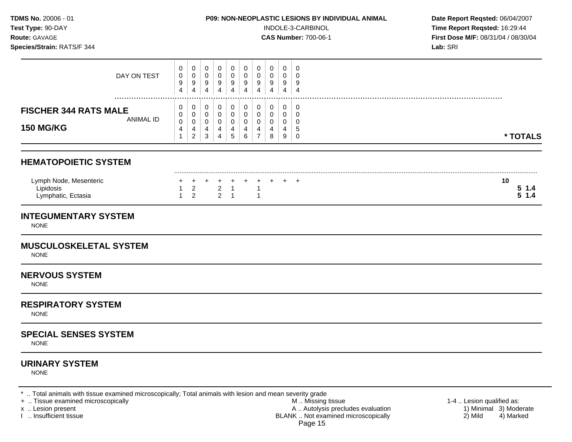## **Species/Strain:** RATS/F 344 **Lab:** SRI

**Test Type:**  $90-DAY$  **INDOLE-3-CARBINOL Time Report Reqsted: 16:29:44 Route:** GAVAGE **CAS Number:** 700-06-1 **First Dose M/F:** 08/31/04 / 08/30/04

| <b>150 MG/KG</b>             |           | 0<br>$\overline{4}$ | 0<br>4<br>$\overline{2}$ | 0<br>4<br>3 | υ<br>4<br>4 | 0<br>4<br>5 | 0<br>4<br>6 |   | 0<br>4<br>8 | 0<br>4<br>9 | ₽ | * TOTALS |
|------------------------------|-----------|---------------------|--------------------------|-------------|-------------|-------------|-------------|---|-------------|-------------|---|----------|
| <b>FISCHER 344 RATS MALE</b> | ANIMAL ID | 0                   | 0                        | 0           | υ           | 0           | 0           |   |             | 0           |   |          |
|                              |           | 0                   | 0                        | 0           |             | 0           | 0           |   | 0           | 0           |   | .        |
|                              |           | $\overline{4}$      | 4                        | 4           | 4           | 4           | 4           | 4 | 4           | 4           | 4 |          |
|                              |           | 9                   | 9                        | 9           | 9           | 9           | 9           |   | 9           | 9           |   |          |
| DAY ON TEST                  |           | 0<br>0              | 0                        | 0<br>0      | 0<br>υ      | 0<br>0      | 0<br>0      |   | 0<br>0      | 0<br>0      |   |          |

| Lymph Node, Mesenter              |  | + + + + + + + + + + |  |  |  |  |  | 10 |  |
|-----------------------------------|--|---------------------|--|--|--|--|--|----|--|
| _ipidosis                         |  |                     |  |  |  |  |  |    |  |
| ⊟∨mnhatic.<br>Ludola<br>Lynphano, |  |                     |  |  |  |  |  |    |  |
|                                   |  |                     |  |  |  |  |  |    |  |

## **INTEGUMENTARY SYSTEM**

NONE

#### **MUSCULOSKELETAL SYSTEM**

NONE

#### **NERVOUS SYSTEM**

NONE

#### **RESPIRATORY SYSTEM**

NONE

## **SPECIAL SENSES SYSTEM**

NONE

## **URINARY SYSTEM**

NONE

\* .. Total animals with tissue examined microscopically; Total animals with lesion and mean severity grade<br>+ .. Tissue examined microscopically

+ .. Tissue examined microscopically the state of the state of the M .. Missing tissue 1-4 .. Lesion qualified as:

x .. Lesion present 1) Minimal 3) Moderate<br>
1 .. Insufficient tissue 1<br>
1 .. Insufficient tissue 4) Marked 1 .. Insufficient tissue 4) Marked 1 .. Insufficient tissue BLANK .. Not examined microscopically Page 15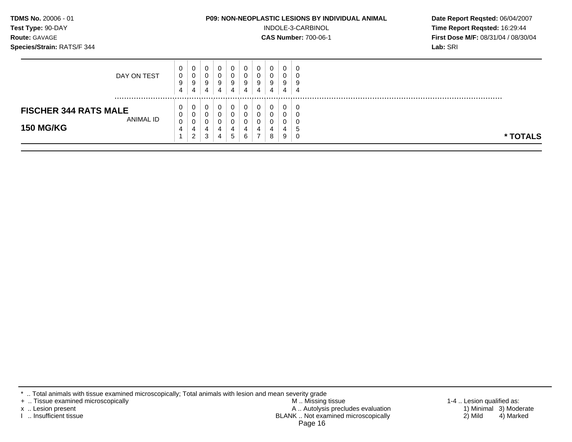| TDMS No. 20006 - 01<br>Test Type: 90-DAY<br>Route: GAVAGE<br>Species/Strain: RATS/F 344 |                  |                                    |             |             |                       |                       |                            |        |                                                     | <b>P09: NON-NEOPLASTIC LESIONS BY INDIVIDUAL ANIMAL</b><br>INDOLE-3-CARBINOL<br><b>CAS Number: 700-06-1</b> | Date Report Reqsted: 06/04/2007<br>Time Report Reqsted: 16:29:44<br><b>First Dose M/F: 08/31/04 / 08/30/04</b><br>Lab: SRI |  |
|-----------------------------------------------------------------------------------------|------------------|------------------------------------|-------------|-------------|-----------------------|-----------------------|----------------------------|--------|-----------------------------------------------------|-------------------------------------------------------------------------------------------------------------|----------------------------------------------------------------------------------------------------------------------------|--|
| DAY ON TEST                                                                             | 0<br>0<br>9<br>4 | 0<br>0<br>9<br>4                   | 0<br>0<br>9 | 0<br>0<br>9 | 0<br>0<br>9<br>4      | 0<br>0<br>9<br>4      | 0<br>$\mathbf 0$<br>9<br>4 | 0<br>9 | 0<br>0<br>9<br>4                                    | 0<br>0<br>9<br>4                                                                                            |                                                                                                                            |  |
| <b>FISCHER 344 RATS MALE</b><br>ANIMAL ID<br><b>150 MG/KG</b>                           | 0<br>0<br>0<br>4 | 0<br>0<br>0<br>4<br>$\overline{2}$ | 3           | 0           | 0<br>0<br>0<br>4<br>5 | 0<br>0<br>0<br>4<br>6 | 0<br>4                     | 8      | $\mathbf 0$<br>$\mathbf 0$<br>$\mathbf 0$<br>4<br>9 | 0<br>0<br>0<br>5<br>0                                                                                       | * TOTALS                                                                                                                   |  |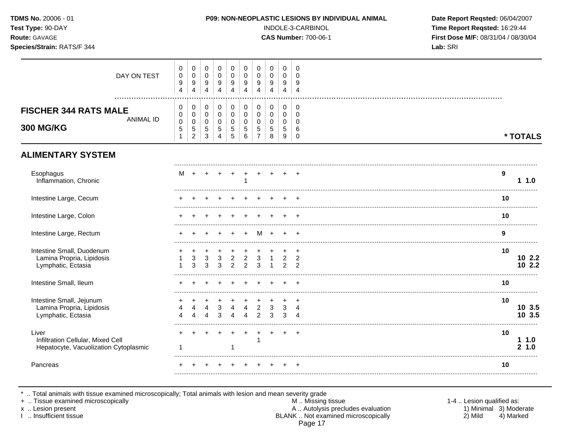| TDMS No. 20006 - 01<br>Test Type: 90-DAY<br>Route: GAVAGE<br>Species/Strain: RATS/F 344 |                                                 |                                                                         |                                                                           |                                                                           |                                                     |                                          |                                                       |                                                              |                                                     |                                           | P09: NON-NEOPLASTIC LESIONS BY INDIVIDUAL ANIMAL<br>INDOLE-3-CARBINOL<br><b>CAS Number: 700-06-1</b> | Date Report Reqsted: 06/04/2007<br>Time Report Reqsted: 16:29:44<br>First Dose M/F: 08/31/04 / 08/30/04<br>Lab: SRI |
|-----------------------------------------------------------------------------------------|-------------------------------------------------|-------------------------------------------------------------------------|---------------------------------------------------------------------------|---------------------------------------------------------------------------|-----------------------------------------------------|------------------------------------------|-------------------------------------------------------|--------------------------------------------------------------|-----------------------------------------------------|-------------------------------------------|------------------------------------------------------------------------------------------------------|---------------------------------------------------------------------------------------------------------------------|
| DAY ON TEST                                                                             | 0<br>$\pmb{0}$<br>9<br>$\overline{4}$           | $\mathbf 0$<br>$\pmb{0}$<br>$\boldsymbol{9}$<br>$\overline{4}$          | $\mathbf 0$<br>$\pmb{0}$<br>$\boldsymbol{9}$<br>$\overline{\mathbf{4}}$   | $\mathbf 0$<br>$\mathbf 0$<br>$\boldsymbol{9}$<br>$\overline{4}$          | $\mathbf 0$<br>$\mathbf 0$<br>9<br>4                | 0<br>0<br>9<br>$\overline{\mathbf{4}}$   | 0<br>$\mathbf 0$<br>9<br>$\overline{4}$               | $\mathbf 0$<br>$\mathbf 0$<br>9<br>$\overline{4}$            | $\mathbf 0$<br>$\mathbf 0$<br>9<br>4                | 0<br>$\Omega$<br>9<br>$\overline{4}$      |                                                                                                      |                                                                                                                     |
| <b>FISCHER 344 RATS MALE</b><br><b>ANIMAL ID</b><br><b>300 MG/KG</b>                    | 0<br>$\pmb{0}$<br>$\pmb{0}$<br>$\,$ 5 $\,$<br>1 | $\mathbf 0$<br>$\mathbf 0$<br>$\pmb{0}$<br>$\sqrt{5}$<br>$\overline{c}$ | $\mathbf 0$<br>$\mathbf 0$<br>$\mathbf 0$<br>$\sqrt{5}$<br>$\mathfrak{Z}$ | $\mathbf 0$<br>$\mathbf 0$<br>$\mathbf 0$<br>$\sqrt{5}$<br>$\overline{4}$ | $\mathbf 0$<br>$\mathbf 0$<br>$\mathbf 0$<br>5<br>5 | 0<br>0<br>$\mathbf 0$<br>5<br>$\,6$      | $\mathbf 0$<br>0<br>0<br>$\sqrt{5}$<br>$\overline{7}$ | $\mathbf 0$<br>$\mathbf 0$<br>$\mathbf 0$<br>$\sqrt{5}$<br>8 | $\mathbf 0$<br>$\mathbf 0$<br>$\mathbf 0$<br>5<br>9 | 0<br>$\mathbf 0$<br>0<br>6<br>$\mathbf 0$ |                                                                                                      | * TOTALS                                                                                                            |
| <b>ALIMENTARY SYSTEM</b>                                                                |                                                 |                                                                         |                                                                           |                                                                           |                                                     |                                          |                                                       |                                                              |                                                     |                                           |                                                                                                      |                                                                                                                     |
| Esophagus<br>Inflammation, Chronic                                                      | м                                               |                                                                         |                                                                           |                                                                           |                                                     | $\ddot{}$<br>$\mathbf{1}$                | $+$                                                   |                                                              |                                                     |                                           |                                                                                                      | 9<br>1.0                                                                                                            |
| Intestine Large, Cecum                                                                  |                                                 |                                                                         |                                                                           |                                                                           |                                                     |                                          |                                                       |                                                              |                                                     |                                           |                                                                                                      | 10                                                                                                                  |
| Intestine Large, Colon                                                                  |                                                 |                                                                         |                                                                           |                                                                           |                                                     |                                          |                                                       |                                                              |                                                     |                                           |                                                                                                      | 10                                                                                                                  |
| Intestine Large, Rectum                                                                 |                                                 |                                                                         |                                                                           |                                                                           |                                                     |                                          | M                                                     | $+$                                                          |                                                     |                                           |                                                                                                      | 9                                                                                                                   |
| Intestine Small, Duodenum<br>Lamina Propria, Lipidosis<br>Lymphatic, Ectasia            |                                                 | 3<br>3                                                                  | 3<br>3                                                                    | 3<br>3                                                                    | $\overline{2}$<br>2                                 | $\sqrt{2}$<br>$\overline{2}$             | $\mathbf{3}$<br>3                                     | $\overline{1}$                                               | $2^{\circ}$<br>$\overline{2}$                       | $\overline{2}$<br>$\mathcal{P}$           |                                                                                                      | 10<br>102.2<br>102.2                                                                                                |
| Intestine Small, Ileum                                                                  |                                                 |                                                                         |                                                                           |                                                                           |                                                     |                                          |                                                       |                                                              |                                                     |                                           |                                                                                                      | 10                                                                                                                  |
| Intestine Small, Jejunum<br>Lamina Propria, Lipidosis<br>Lymphatic, Ectasia             |                                                 |                                                                         |                                                                           | 3<br>3                                                                    |                                                     | $\overline{4}$<br>$\boldsymbol{\Lambda}$ | $\overline{2}$<br>$\mathfrak{p}$                      | 3<br>3                                                       | 3<br>3                                              | $\ddot{}$<br>4<br>$\Lambda$               |                                                                                                      | 10<br>10 3.5<br>10 3.5                                                                                              |
| Liver<br>Infiltration Cellular, Mixed Cell<br>Hepatocyte, Vacuolization Cytoplasmic     | 1                                               |                                                                         |                                                                           |                                                                           |                                                     |                                          |                                                       |                                                              | $+$                                                 | $\overline{+}$                            |                                                                                                      | 10<br>11.0<br>2, 1.0                                                                                                |
| Pancreas                                                                                |                                                 |                                                                         |                                                                           |                                                                           |                                                     |                                          |                                                       |                                                              |                                                     |                                           |                                                                                                      | 10                                                                                                                  |

+ .. Tissue examined microscopically M .. Missing tissue 1-4 .. Lesion qualified as:

x .. Lesion present 1) Minimal 3) Moderate A .. Autor A .. Autor A .. Autor A .. Autor A .. Autor A .. Autor A .. Autor A .. Autor A .. Autor A .. Autor A .. Autor A .. Autor A .. Autor A .. Autor A .. Autor A .. Autor A . I .. Insufficient tissue BLANK .. Not examined microscopically 2) Mild 4) Marked Page 17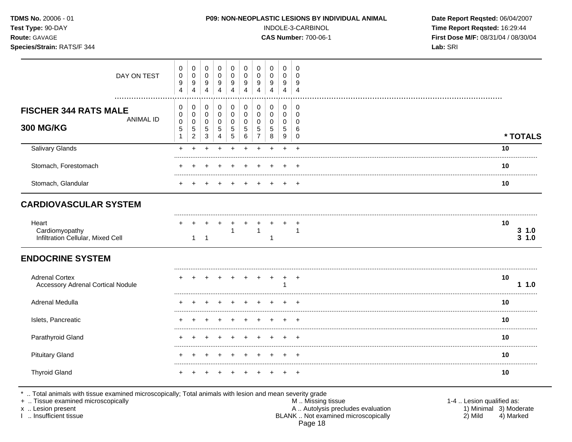| <b>TDMS No. 20006 - 01</b><br>Test Type: 90-DAY<br><b>Route: GAVAGE</b><br>Species/Strain: RATS/F 344 |             |                  |                  |             |                    |        |        |                         |        | <b>P09: NON-NEOPLASTIC LESIONS BY INDIVIDUAL ANIMAL</b><br>INDOLE-3-CARBINOL<br><b>CAS Number: 700-06-1</b> |
|-------------------------------------------------------------------------------------------------------|-------------|------------------|------------------|-------------|--------------------|--------|--------|-------------------------|--------|-------------------------------------------------------------------------------------------------------------|
|                                                                                                       | DAY ON TEST | 0<br>0<br>$\sim$ | 0<br>U<br>$\sim$ | 0<br>$\sim$ | $\Omega$<br>$\sim$ | $\sim$ | $\sim$ | $\Omega$<br>0<br>$\sim$ | $\sim$ | - 0                                                                                                         |

Date Report Reqsted: 06/04/2007 Time Report Reqsted: 16:29:44 First Dose M/F: 08/31/04 / 08/30/04 Lab: SRI

| DAY ON TEST<br>.                                                     | 0<br>$\pmb{0}$<br>$\boldsymbol{9}$<br>4    | $\mathbf 0$<br>$\pmb{0}$<br>9<br>$\overline{4}$                      | 0<br>$\mathbf 0$<br>9<br>4                        | 0<br>$\mathsf 0$<br>9<br>4                                                   | 0<br>$\mathbf 0$<br>9<br>4                       | 0<br>$\mathbf 0$<br>9<br>4   | 0<br>0<br>9<br>4                        | 0<br>0<br>9<br>4                      | 0<br>$\mathbf 0$<br>9<br>4                             | 0<br>$\Omega$<br>9<br>4                                 |             |                |
|----------------------------------------------------------------------|--------------------------------------------|----------------------------------------------------------------------|---------------------------------------------------|------------------------------------------------------------------------------|--------------------------------------------------|------------------------------|-----------------------------------------|---------------------------------------|--------------------------------------------------------|---------------------------------------------------------|-------------|----------------|
| <b>FISCHER 344 RATS MALE</b><br><b>ANIMAL ID</b><br><b>300 MG/KG</b> | 0<br>0<br>$\mathbf 0$<br>5<br>$\mathbf{1}$ | $\pmb{0}$<br>$\pmb{0}$<br>$\pmb{0}$<br>$\,$ 5 $\,$<br>$\overline{c}$ | $\pmb{0}$<br>0<br>$\mathbf 0$<br>$\,$ 5 $\,$<br>3 | $\pmb{0}$<br>$\mathbf 0$<br>$\mathbf 0$<br>$5\phantom{.0}$<br>$\overline{4}$ | $\pmb{0}$<br>0<br>$\mathbf 0$<br>$\sqrt{5}$<br>5 | 0<br>0<br>$\Omega$<br>5<br>6 | $\pmb{0}$<br>$\pmb{0}$<br>$\Omega$<br>5 | $\,0\,$<br>0<br>0<br>$\,$ 5 $\,$<br>8 | $\pmb{0}$<br>0<br>$\mathbf 0$<br>5<br>$\boldsymbol{9}$ | $\mathbf 0$<br>$\mathbf 0$<br>$\Omega$<br>6<br>$\Omega$ | * TOTALS    |                |
| <b>Salivary Glands</b>                                               | $+$                                        |                                                                      | ÷                                                 | ÷                                                                            |                                                  | ÷                            | ÷.                                      | ÷                                     | $\ddot{}$                                              | $+$                                                     | 10          |                |
| Stomach, Forestomach                                                 |                                            |                                                                      |                                                   |                                                                              |                                                  |                              |                                         |                                       |                                                        | $\div$                                                  | 10          |                |
| Stomach, Glandular                                                   |                                            |                                                                      |                                                   |                                                                              |                                                  |                              |                                         |                                       |                                                        | $\div$                                                  | 10          |                |
| <b>CARDIOVASCULAR SYSTEM</b>                                         |                                            |                                                                      |                                                   |                                                                              |                                                  |                              |                                         |                                       |                                                        |                                                         |             |                |
| Heart<br>Cardiomyopathy<br>Infiltration Cellular, Mixed Cell         |                                            | 1                                                                    | $\overline{1}$                                    |                                                                              | $\overline{1}$                                   |                              | $\mathbf{1}$                            | 1                                     |                                                        | $\overline{1}$                                          | 10          | 3 1.0<br>3 1.0 |
| <b>ENDOCRINE SYSTEM</b>                                              |                                            |                                                                      |                                                   |                                                                              |                                                  |                              |                                         |                                       |                                                        |                                                         |             |                |
| <b>Adrenal Cortex</b><br><b>Accessory Adrenal Cortical Nodule</b>    |                                            |                                                                      |                                                   |                                                                              |                                                  |                              |                                         |                                       |                                                        | $\ddot{}$                                               | 10<br>1<br> | 1.0            |
| Adrenal Medulla                                                      |                                            |                                                                      |                                                   |                                                                              |                                                  |                              |                                         |                                       |                                                        |                                                         | 10          |                |
| Islets, Pancreatic                                                   |                                            |                                                                      |                                                   |                                                                              |                                                  |                              |                                         |                                       |                                                        | $\ddot{}$                                               | 10          |                |
| Parathyroid Gland                                                    |                                            |                                                                      |                                                   |                                                                              |                                                  |                              |                                         |                                       |                                                        | $\ddot{}$                                               | 10          |                |
| <b>Pituitary Gland</b>                                               |                                            |                                                                      |                                                   |                                                                              |                                                  |                              |                                         |                                       | $\pm$                                                  | $\overline{+}$                                          | .<br>10     |                |
| <b>Thyroid Gland</b>                                                 |                                            |                                                                      |                                                   |                                                                              |                                                  |                              |                                         |                                       |                                                        | $+$                                                     | 10          |                |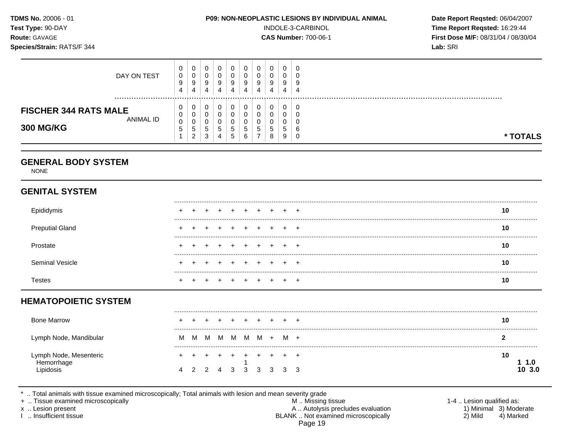| Test Type: 90-DAY<br>Route: GAVAGE<br>Species/Strain: RATS/F 344 |                                    |                  |                                 |                                              |                                 |                                        |                       |                       |                                 | P09: NON-NEOPLASTIC LESIONS BY INDIVIDUAL ANIMAL<br>INDOLE-3-CARBINOL<br><b>CAS Number: 700-06-1</b> | Date Report Reqsted: 06/04/2007<br>Time Report Reqsted: 16:29:44<br>First Dose M/F: 08/31/04 / 08/30/04<br>Lab: SRI |
|------------------------------------------------------------------|------------------------------------|------------------|---------------------------------|----------------------------------------------|---------------------------------|----------------------------------------|-----------------------|-----------------------|---------------------------------|------------------------------------------------------------------------------------------------------|---------------------------------------------------------------------------------------------------------------------|
| DAY ON TEST                                                      | 0<br>$\mathbf 0$<br>9<br>4         | 0<br>0<br>9<br>4 | 0<br>0<br>9<br>4                | 0<br>$\pmb{0}$<br>9<br>$\overline{4}$        | 0<br>0<br>9<br>$\overline{4}$   | 0<br>0<br>9<br>4                       | 0<br>0<br>9<br>4      | 0<br>0<br>9<br>4      | 0<br>0<br>9<br>$\overline{4}$   | 0<br>$\Omega$<br>9<br>$\overline{4}$                                                                 |                                                                                                                     |
| <b>FISCHER 344 RATS MALE</b><br><b>ANIMAL ID</b>                 | 0<br>$\mathbf 0$<br>$\pmb{0}$<br>5 | 0<br>0<br>0<br>5 | 0<br>$\mathbf 0$<br>0<br>5<br>3 | 0<br>$\mathsf 0$<br>0<br>5<br>$\overline{4}$ | 0<br>$\mathbf 0$<br>0<br>5<br>5 | 0<br>$\pmb{0}$<br>0<br>$\sqrt{5}$<br>6 | 0<br>0<br>0<br>5<br>7 | 0<br>0<br>0<br>5<br>8 | 0<br>$\mathbf 0$<br>0<br>5<br>9 | 0<br>$\Omega$<br>0<br>6<br>$\mathbf 0$                                                               | * TOTALS                                                                                                            |
| <b>300 MG/KG</b>                                                 | 1                                  | $\overline{2}$   |                                 |                                              |                                 |                                        |                       |                       |                                 |                                                                                                      |                                                                                                                     |
| <b>GENERAL BODY SYSTEM</b><br><b>NONE</b>                        |                                    |                  |                                 |                                              |                                 |                                        |                       |                       |                                 |                                                                                                      |                                                                                                                     |
| <b>GENITAL SYSTEM</b>                                            |                                    |                  |                                 |                                              |                                 |                                        |                       |                       |                                 |                                                                                                      | 10                                                                                                                  |
| Epididymis<br><b>Preputial Gland</b>                             |                                    |                  |                                 |                                              |                                 |                                        |                       |                       |                                 |                                                                                                      | 10                                                                                                                  |
| Prostate                                                         |                                    |                  |                                 |                                              |                                 |                                        |                       |                       |                                 |                                                                                                      | 10                                                                                                                  |
| <b>Seminal Vesicle</b>                                           |                                    |                  |                                 | $\div$                                       | $\pm$                           | $\pm$                                  | $\pm$                 | $\pm$                 |                                 | $^+$                                                                                                 | 10                                                                                                                  |

| <b>Bone Marrow</b>                                |   |                   |   |   | $\leftarrow$ | $+$ $+$ $+$ |                 | 10        |
|---------------------------------------------------|---|-------------------|---|---|--------------|-------------|-----------------|-----------|
| Lymph Node, Mandibular                            | м | <b>M</b>          | M | M |              |             | M M M + M +     |           |
| Lymph Node, Mesenteric<br>Hemorrhage<br>Lipidosis | 4 | 2 2 4 3 3 3 3 3 3 |   |   |              |             | + + + + + + + + | 10<br>3.0 |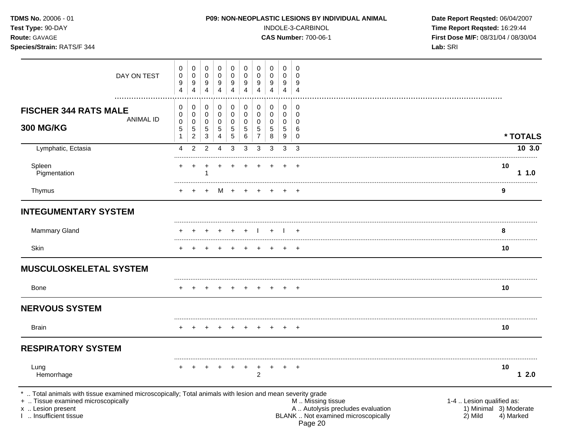| $I$ est Type. $30$ -DAT<br>Route: GAVAGE<br>Species/Strain: RATS/F 344                                                                                                                  |                       |                               |                               |                               |                               |                               |                                         |                       |                       | <b>INDOLE-3-ORRDINOL</b><br><b>CAS Number: 700-06-1</b>                                       | The Report Redsted. 10.29.44<br>First Dose M/F: 08/31/04 / 08/30/04<br>Lab: SRI |
|-----------------------------------------------------------------------------------------------------------------------------------------------------------------------------------------|-----------------------|-------------------------------|-------------------------------|-------------------------------|-------------------------------|-------------------------------|-----------------------------------------|-----------------------|-----------------------|-----------------------------------------------------------------------------------------------|---------------------------------------------------------------------------------|
| DAY ON TEST                                                                                                                                                                             | 0<br>0<br>9<br>4      | 0<br>0<br>9<br>$\overline{4}$ | 0<br>0<br>9<br>$\overline{4}$ | 0<br>0<br>9<br>$\overline{4}$ | 0<br>0<br>9<br>$\overline{4}$ | 0<br>0<br>9<br>$\overline{4}$ | $\mathbf 0$<br>0<br>9<br>$\overline{4}$ | 0<br>0<br>9<br>4      | 0<br>0<br>9<br>4      | 0<br>$\Omega$<br>9<br>$\overline{4}$                                                          |                                                                                 |
| <b>FISCHER 344 RATS MALE</b><br><b>ANIMAL ID</b><br><b>300 MG/KG</b>                                                                                                                    | 0<br>0<br>0<br>5<br>1 | 0<br>0<br>0<br>5<br>2         | 0<br>0<br>0<br>5<br>3         | 0<br>0<br>0<br>5<br>4         | 0<br>0<br>0<br>5<br>5         | 0<br>0<br>0<br>5<br>6         | 0<br>0<br>0<br>5<br>$\overline{7}$      | 0<br>0<br>0<br>5<br>8 | 0<br>0<br>0<br>5<br>9 | 0<br>0<br>0<br>6<br>0                                                                         | * TOTALS                                                                        |
| Lymphatic, Ectasia                                                                                                                                                                      | 4                     | 2                             | 2                             | 4                             | 3                             | 3                             | 3                                       | 3                     | 3                     | 3                                                                                             | 10 3.0                                                                          |
| Spleen<br>Pigmentation                                                                                                                                                                  |                       |                               |                               |                               |                               |                               |                                         |                       |                       |                                                                                               | 10<br>11.0                                                                      |
| Thymus                                                                                                                                                                                  |                       | $^{+}$                        | $\ddot{}$                     |                               | M + +                         |                               | $+$                                     | $+$                   |                       |                                                                                               | 9                                                                               |
| <b>INTEGUMENTARY SYSTEM</b>                                                                                                                                                             |                       |                               |                               |                               |                               |                               |                                         |                       |                       |                                                                                               |                                                                                 |
| <b>Mammary Gland</b>                                                                                                                                                                    |                       |                               |                               |                               |                               |                               |                                         |                       |                       |                                                                                               | 8                                                                               |
| Skin                                                                                                                                                                                    |                       |                               |                               |                               |                               |                               |                                         |                       |                       |                                                                                               | 10                                                                              |
| <b>MUSCULOSKELETAL SYSTEM</b>                                                                                                                                                           |                       |                               |                               |                               |                               |                               |                                         |                       |                       |                                                                                               |                                                                                 |
| <b>Bone</b>                                                                                                                                                                             |                       |                               |                               |                               |                               |                               |                                         |                       |                       | $+$                                                                                           | 10                                                                              |
| <b>NERVOUS SYSTEM</b>                                                                                                                                                                   |                       |                               |                               |                               |                               |                               |                                         |                       |                       |                                                                                               |                                                                                 |
| Brain                                                                                                                                                                                   |                       |                               |                               |                               |                               |                               | $+$                                     | $+$                   |                       | $^{+}$                                                                                        | 10                                                                              |
| <b>RESPIRATORY SYSTEM</b>                                                                                                                                                               |                       |                               |                               |                               |                               |                               |                                         |                       |                       |                                                                                               |                                                                                 |
| Lung<br>Hemorrhage                                                                                                                                                                      |                       |                               |                               |                               |                               | $\ddot{}$                     | $\ddot{}$<br>$\overline{2}$             | $\ddot{}$             |                       |                                                                                               | 10<br>12.0                                                                      |
| Total animals with tissue examined microscopically; Total animals with lesion and mean severity grade<br>+  Tissue examined microscopically<br>x  Lesion present<br>Insufficient tissue |                       |                               |                               |                               |                               |                               |                                         |                       |                       | M  Missing tissue<br>A  Autolysis precludes evaluation<br>BLANK  Not examined microscopically | 1-4  Lesion qualified as:<br>1) Minimal 3) Moderate<br>2) Mild<br>4) Marked     |

Page 20

**TDMS No.** 20006 - 01 **P09: NON-NEOPLASTIC LESIONS BY INDIVIDUAL ANIMAL** Date Report Reqsted: 06/04/2007<br>Time Report Reqsted: 16:29:44 **PD9: NON-NEOPLASTIC LESIONS BY INDIVIDUAL ANIMAL Time Report Reqsted:** 16:29:44 **Test Type:** 90-DAY INDOLE-3-CARBINOL **Time Report Reqsted:** 16:29:44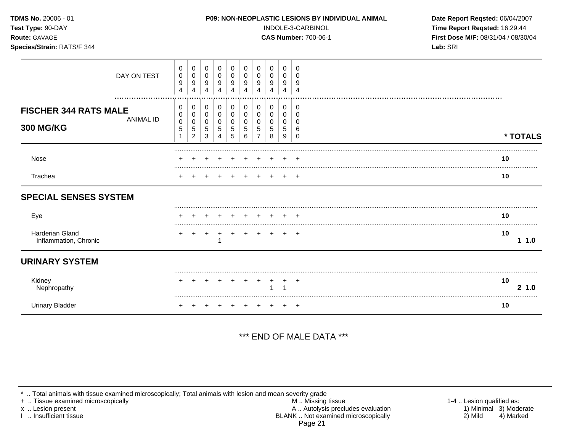| TDMS No. 20006 - 01<br>Test Type: 90-DAY<br>Route: GAVAGE            |                                 |                                                                                 |                                 | P09: NON-NEOPLASTIC LESIONS BY INDIVIDUAL ANIMAL |                                  |                                              | INDOLE-3-CARBINOL<br><b>CAS Number: 700-06-1</b> | Date Report Reqsted: 06/04/2007<br>Time Report Reqsted: 16:29:44<br>First Dose M/F: 08/31/04 / 08/30/04 |                                           |              |
|----------------------------------------------------------------------|---------------------------------|---------------------------------------------------------------------------------|---------------------------------|--------------------------------------------------|----------------------------------|----------------------------------------------|--------------------------------------------------|---------------------------------------------------------------------------------------------------------|-------------------------------------------|--------------|
| Species/Strain: RATS/F 344                                           |                                 |                                                                                 |                                 |                                                  |                                  |                                              |                                                  | Lab: SRI                                                                                                |                                           |              |
| DAY ON TEST                                                          | 0<br>0<br>$\boldsymbol{9}$<br>4 | 0<br>0<br>$\pmb{0}$<br>0<br>$\boldsymbol{9}$<br>9<br>$\overline{4}$<br>4        | 0<br>$\mathbf 0$<br>9<br>4      | 0<br>$\mathbf 0$<br>9<br>$\overline{4}$          | 0<br>0<br>9<br>$\overline{4}$    | 0<br>0<br>$\boldsymbol{9}$<br>$\overline{4}$ | 0<br>$\mathbf 0$<br>9<br>4                       | 0<br>0<br>9<br>4                                                                                        | 0<br>0<br>9<br>$\overline{4}$             |              |
| <b>FISCHER 344 RATS MALE</b><br><b>ANIMAL ID</b><br><b>300 MG/KG</b> | 0<br>0<br>0<br>5                | 0<br>0<br>$\mathbf 0$<br>0<br>0<br>0<br>$\,$ 5 $\,$<br>5<br>$\overline{c}$<br>3 | 0<br>$\mathbf 0$<br>0<br>5<br>4 | 0<br>$\pmb{0}$<br>0<br>$\sqrt{5}$<br>5           | 0<br>$\mathsf{O}$<br>0<br>5<br>6 | 0<br>$\mathbf 0$<br>0<br>5<br>$\overline{7}$ | 0<br>$\mathbf 0$<br>0<br>5<br>8                  | 0<br>$\mathbf{0}$<br>0<br>5<br>9                                                                        | 0<br>$\mathbf 0$<br>0<br>6<br>$\mathbf 0$ | * TOTALS     |
| Nose                                                                 |                                 |                                                                                 |                                 |                                                  |                                  |                                              |                                                  |                                                                                                         |                                           | 10           |
| Trachea                                                              |                                 |                                                                                 |                                 |                                                  |                                  |                                              |                                                  |                                                                                                         | $\ddot{}$                                 | 10           |
| <b>SPECIAL SENSES SYSTEM</b>                                         |                                 |                                                                                 |                                 |                                                  |                                  |                                              |                                                  |                                                                                                         |                                           |              |
| Eye                                                                  |                                 |                                                                                 |                                 |                                                  |                                  |                                              |                                                  |                                                                                                         |                                           | 10           |
| Harderian Gland<br>Inflammation, Chronic                             | +                               | $\ddot{}$                                                                       |                                 |                                                  | $\div$                           |                                              |                                                  |                                                                                                         |                                           | 10<br>11.0   |
| <b>URINARY SYSTEM</b>                                                |                                 |                                                                                 |                                 |                                                  |                                  |                                              |                                                  |                                                                                                         |                                           |              |
| Kidney<br>Nephropathy                                                |                                 |                                                                                 |                                 |                                                  |                                  |                                              | 1                                                |                                                                                                         | $\div$                                    | 10<br>2, 1.0 |
| <b>Urinary Bladder</b>                                               | +                               |                                                                                 |                                 |                                                  | $+$                              | $+$                                          | + + +                                            |                                                                                                         |                                           | 10           |

## \*\*\* END OF MALE DATA \*\*\*

\* .. Total animals with tissue examined microscopically; Total animals with lesion and mean severity grade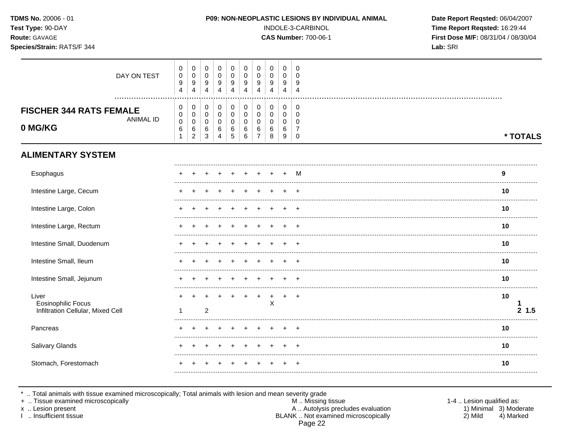| TDMS No. 20006 - 01<br>Test Type: 90-DAY<br>Route: GAVAGE<br>Species/Strain: RATS/F 344 |                                            |                                                      |                                                   |                                         |                                 |                                                 |                                                            |                               | P09: NON-NEOPLASTIC LESIONS BY INDIVIDUAL ANIMAL<br>INDOLE-3-CARBINOL<br><b>CAS Number: 700-06-1</b> | Date Report Reqsted: 06/04/2007<br>Time Report Reqsted: 16:29:44<br>First Dose M/F: 08/31/04 / 08/30/04<br>Lab: SRI |  |              |
|-----------------------------------------------------------------------------------------|--------------------------------------------|------------------------------------------------------|---------------------------------------------------|-----------------------------------------|---------------------------------|-------------------------------------------------|------------------------------------------------------------|-------------------------------|------------------------------------------------------------------------------------------------------|---------------------------------------------------------------------------------------------------------------------|--|--------------|
| DAY ON TEST                                                                             | 0<br>0<br>9<br>$\overline{4}$              | 0<br>$\pmb{0}$<br>$\boldsymbol{9}$<br>$\overline{4}$ | $\mathbf 0$<br>$\mathbf 0$<br>9<br>$\overline{4}$ | $\mathbf 0$<br>0<br>9<br>$\overline{4}$ | 0<br>0<br>9<br>$\overline{4}$   | 0<br>$\mathbf 0$<br>$9\,$<br>$\overline{4}$     | 0<br>$\pmb{0}$<br>9<br>4                                   | 0<br>0<br>9<br>$\overline{4}$ | $\mathbf 0$<br>0<br>9<br>$\overline{4}$                                                              | 0<br>$\Omega$<br>9<br>$\overline{4}$                                                                                |  |              |
| <b>FISCHER 344 RATS FEMALE</b><br><b>ANIMAL ID</b><br>0 MG/KG                           | 0<br>0<br>$\mathbf 0$<br>6<br>$\mathbf{1}$ | 0<br>0<br>$\mathbf 0$<br>6<br>$\overline{2}$         | $\Omega$<br>$\mathbf 0$<br>$\mathbf 0$<br>6<br>3  | 0<br>$\mathbf 0$<br>$\Omega$<br>6<br>4  | 0<br>0<br>$\mathbf 0$<br>6<br>5 | 0<br>$\mathbf 0$<br>$\mathbf 0$<br>$\,6\,$<br>6 | 0<br>$\mathbf 0$<br>$\mathbf 0$<br>$\,6$<br>$\overline{7}$ | 0<br>0<br>0<br>6<br>8         | 0<br>$\mathbf 0$<br>$\mathbf 0$<br>6<br>9                                                            | 0<br>$\mathbf 0$<br>$\Omega$<br>7<br>$\mathbf 0$                                                                    |  | * TOTALS     |
| <b>ALIMENTARY SYSTEM</b>                                                                |                                            |                                                      |                                                   |                                         |                                 |                                                 |                                                            |                               |                                                                                                      |                                                                                                                     |  |              |
| Esophagus                                                                               |                                            |                                                      |                                                   |                                         |                                 |                                                 |                                                            |                               |                                                                                                      | м                                                                                                                   |  | 9            |
| Intestine Large, Cecum                                                                  |                                            |                                                      |                                                   |                                         |                                 |                                                 |                                                            |                               |                                                                                                      |                                                                                                                     |  | 10           |
| Intestine Large, Colon                                                                  |                                            |                                                      |                                                   |                                         |                                 |                                                 |                                                            |                               |                                                                                                      |                                                                                                                     |  | 10           |
| Intestine Large, Rectum                                                                 |                                            |                                                      |                                                   |                                         |                                 |                                                 |                                                            |                               |                                                                                                      |                                                                                                                     |  | 10           |
| Intestine Small, Duodenum                                                               |                                            |                                                      |                                                   |                                         |                                 |                                                 |                                                            |                               |                                                                                                      |                                                                                                                     |  | 10           |
| Intestine Small, Ileum                                                                  |                                            |                                                      |                                                   |                                         |                                 |                                                 |                                                            |                               |                                                                                                      |                                                                                                                     |  | 10           |
| Intestine Small, Jejunum                                                                |                                            |                                                      |                                                   |                                         |                                 |                                                 |                                                            |                               |                                                                                                      |                                                                                                                     |  | 10           |
| Liver<br><b>Eosinophilic Focus</b><br>Infiltration Cellular, Mixed Cell                 | 1                                          |                                                      | 2                                                 |                                         |                                 |                                                 | $\overline{+}$                                             | $+$<br>X                      | $+$                                                                                                  | $\pm$                                                                                                               |  | 10<br>2, 1.5 |
| Pancreas                                                                                |                                            |                                                      |                                                   |                                         |                                 |                                                 |                                                            |                               |                                                                                                      |                                                                                                                     |  | 10           |
| Salivary Glands                                                                         |                                            |                                                      |                                                   |                                         |                                 |                                                 |                                                            |                               |                                                                                                      |                                                                                                                     |  | 10           |
| Stomach, Forestomach                                                                    |                                            |                                                      |                                                   |                                         |                                 |                                                 |                                                            |                               |                                                                                                      |                                                                                                                     |  | 10           |
|                                                                                         |                                            |                                                      |                                                   |                                         |                                 |                                                 |                                                            |                               |                                                                                                      |                                                                                                                     |  |              |

\* .. Total animals with tissue examined microscopically; Total animals with lesion and mean severity grade<br>+ .. Tissue examined microscopically

x .. Lesion present<br>I .. Insufficient tissue

A .. Autolysis precludes evaluation<br>BLANK .. Not examined microscopically Page 22

1-4 .. Lesion qualified as: 1) Minimal 3) Moderate  $2)$  Mild 4) Marked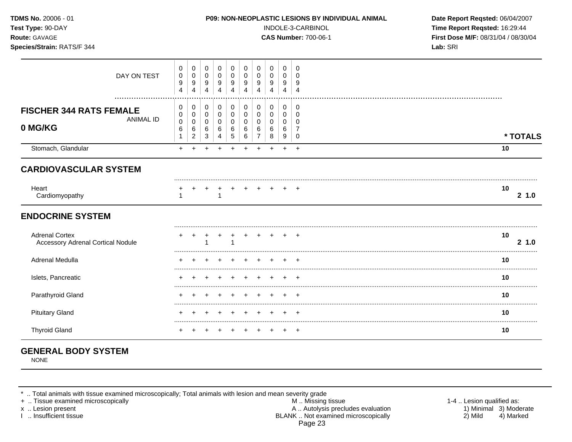| TDMS No. 20006 - 01<br>Test Type: 90-DAY<br>Route: GAVAGE<br>Species/Strain: RATS/F 344 | P09: NON-NEOPLASTIC LESIONS BY INDIVIDUAL ANIMAL<br>INDOLE-3-CARBINOL<br><b>CAS Number: 700-06-1</b>                                                                                                                                                                                                                                                                     | Date Report Reqsted: 06/04/2007<br>Time Report Reqsted: 16:29:44<br>First Dose M/F: 08/31/04 / 08/30/04<br>Lab: SRI |
|-----------------------------------------------------------------------------------------|--------------------------------------------------------------------------------------------------------------------------------------------------------------------------------------------------------------------------------------------------------------------------------------------------------------------------------------------------------------------------|---------------------------------------------------------------------------------------------------------------------|
| DAY ON TEST                                                                             | 0<br>0<br>0<br>0<br>0<br>0<br>$\Omega$<br>$\Omega$<br>0<br>$\Omega$<br>$\mathbf 0$<br>$\mathbf 0$<br>$\boldsymbol{0}$<br>0<br>0<br>0<br>$\mathbf 0$<br>0<br>0<br>$\Omega$<br>9<br>9<br>9<br>9<br>9<br>9<br>9<br>9<br>9<br>9<br>$\overline{4}$<br>$\overline{4}$<br>$\overline{4}$<br>$\overline{4}$<br>$\overline{4}$<br>4<br>$\overline{4}$<br>4<br>4<br>$\overline{4}$ |                                                                                                                     |
| <b>FISCHER 344 RATS FEMALE</b><br><b>ANIMAL ID</b><br>0 MG/KG                           | 0<br>0<br>0<br>0<br>$\mathbf 0$<br>0<br>0<br>0<br>0<br>0<br>$\pmb{0}$<br>$\mathbf 0$<br>$\mathbf 0$<br>$\mathbf 0$<br>0<br>0<br>$\mathbf 0$<br>0<br>0<br>0<br>$\pmb{0}$<br>0<br>0<br>0<br>0<br>0<br>0<br>0<br>$\Omega$<br>0<br>6<br>6<br>6<br>6<br>6<br>6<br>6<br>6<br>7<br>6<br>5<br>$\overline{7}$<br>$\overline{c}$<br>3<br>6<br>1<br>8<br>9<br>4<br>0                | * TOTALS                                                                                                            |
| Stomach, Glandular                                                                      | $+$<br>$\ddot{}$<br>+<br>$\ddot{}$<br>$+$<br>$\overline{+}$                                                                                                                                                                                                                                                                                                              | 10                                                                                                                  |
| <b>CARDIOVASCULAR SYSTEM</b>                                                            |                                                                                                                                                                                                                                                                                                                                                                          |                                                                                                                     |
| Heart<br>Cardiomyopathy                                                                 | $+$ $+$<br>$+$ $+$ $+$ $+$<br>1                                                                                                                                                                                                                                                                                                                                          | 10<br>21.0                                                                                                          |
| <b>ENDOCRINE SYSTEM</b>                                                                 |                                                                                                                                                                                                                                                                                                                                                                          |                                                                                                                     |
| <b>Adrenal Cortex</b><br><b>Accessory Adrenal Cortical Nodule</b>                       |                                                                                                                                                                                                                                                                                                                                                                          | 10<br>2, 1.0                                                                                                        |
| Adrenal Medulla                                                                         |                                                                                                                                                                                                                                                                                                                                                                          | 10                                                                                                                  |
| Islets, Pancreatic                                                                      |                                                                                                                                                                                                                                                                                                                                                                          | 10                                                                                                                  |
| Parathyroid Gland                                                                       |                                                                                                                                                                                                                                                                                                                                                                          | 10                                                                                                                  |
| <b>Pituitary Gland</b>                                                                  |                                                                                                                                                                                                                                                                                                                                                                          | 10                                                                                                                  |
| <b>Thyroid Gland</b>                                                                    |                                                                                                                                                                                                                                                                                                                                                                          | 10                                                                                                                  |

## **GENERAL BODY SYSTEM**

NONE

\* .. Total animals with tissue examined microscopically; Total animals with lesion and mean severity grade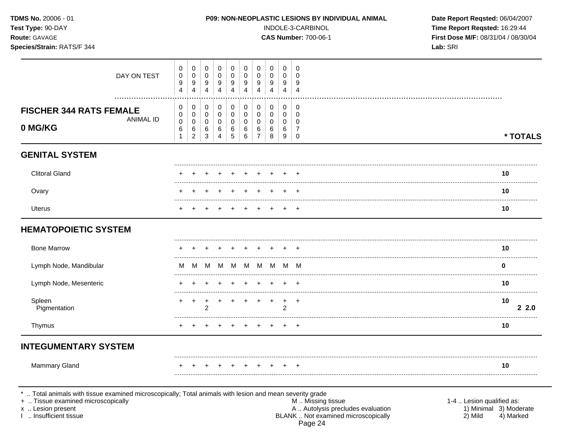|                                                        |                                                                |                                                     |                                                                  |                                                                  |                                                           |                                                                  | INDOLE-3-CARBINOL                                 | Time Report Reqsted: 16:29:44<br>First Dose M/F: 08/31/04 / 08/30/04<br>Lab: SRI |                                                     |                                    |
|--------------------------------------------------------|----------------------------------------------------------------|-----------------------------------------------------|------------------------------------------------------------------|------------------------------------------------------------------|-----------------------------------------------------------|------------------------------------------------------------------|---------------------------------------------------|----------------------------------------------------------------------------------|-----------------------------------------------------|------------------------------------|
| 0<br>$\pmb{0}$<br>$\boldsymbol{9}$<br>4                | $\mathbf 0$<br>$\pmb{0}$<br>$\boldsymbol{9}$<br>$\overline{4}$ | 0<br>$\mathbf 0$<br>9<br>4                          | $\mathbf 0$<br>$\mathbf 0$<br>$\boldsymbol{9}$<br>$\overline{4}$ | $\mathbf 0$<br>$\mathbf 0$<br>$\boldsymbol{9}$<br>$\overline{4}$ | 0<br>$\mathbf 0$<br>$\boldsymbol{9}$<br>$\overline{4}$    | $\mathbf 0$<br>$\mathbf 0$<br>$\boldsymbol{9}$<br>$\overline{4}$ | $\mathbf 0$<br>$\mathbf 0$<br>9<br>$\overline{4}$ | $\mathbf 0$<br>0<br>9<br>$\overline{4}$                                          | $\mathbf 0$<br>$\mathbf 0$<br>9<br>$\overline{4}$   |                                    |
| 0<br>$\pmb{0}$<br>$\pmb{0}$<br>$\,6\,$<br>$\mathbf{1}$ | 0<br>$\mathbf 0$<br>$\pmb{0}$<br>6<br>$\overline{2}$           | $\mathbf 0$<br>$\overline{0}$<br>$\Omega$<br>6<br>3 | $\mathbf 0$<br>$\mathbf 0$<br>$\Omega$<br>6<br>$\overline{4}$    | $\mathbf 0$<br>$\pmb{0}$<br>$\mathbf 0$<br>$\,6\,$<br>5          | $\mathbf 0$<br>$\mathbf 0$<br>$\mathbf 0$<br>$\,6\,$<br>6 | $\mathbf 0$<br>$\mathbf 0$<br>$\Omega$<br>6<br>$\overline{7}$    | $\mathbf 0$<br>$\mathbf 0$<br>0<br>6<br>8         | $\mathbf 0$<br>0<br>0<br>6<br>9                                                  | $\mathbf 0$<br>$\mathbf 0$<br>0<br>7<br>$\mathbf 0$ | * TOTALS                           |
|                                                        |                                                                |                                                     |                                                                  |                                                                  |                                                           |                                                                  |                                                   |                                                                                  |                                                     |                                    |
|                                                        |                                                                |                                                     |                                                                  |                                                                  |                                                           |                                                                  |                                                   |                                                                                  |                                                     | 10<br>.                            |
|                                                        |                                                                |                                                     |                                                                  |                                                                  |                                                           |                                                                  |                                                   |                                                                                  |                                                     | 10                                 |
|                                                        |                                                                |                                                     |                                                                  |                                                                  |                                                           |                                                                  |                                                   |                                                                                  |                                                     | 10                                 |
|                                                        |                                                                |                                                     |                                                                  |                                                                  |                                                           |                                                                  |                                                   |                                                                                  |                                                     |                                    |
|                                                        |                                                                |                                                     |                                                                  |                                                                  |                                                           |                                                                  |                                                   |                                                                                  |                                                     | 10                                 |
| М                                                      | M                                                              |                                                     |                                                                  |                                                                  |                                                           |                                                                  | M                                                 |                                                                                  |                                                     | $\bf{0}$                           |
|                                                        |                                                                |                                                     |                                                                  |                                                                  |                                                           |                                                                  |                                                   |                                                                                  |                                                     | 10                                 |
|                                                        | $\pm$                                                          | +<br>2                                              | $\ddot{}$                                                        | $\pm$                                                            |                                                           |                                                                  | $+$                                               | $\ddot{}$<br>$\overline{2}$                                                      | $^{+}$                                              | 10<br>22.0                         |
|                                                        |                                                                |                                                     |                                                                  |                                                                  |                                                           |                                                                  |                                                   |                                                                                  | $\overline{+}$                                      | 10                                 |
|                                                        |                                                                |                                                     |                                                                  |                                                                  |                                                           |                                                                  |                                                   |                                                                                  |                                                     |                                    |
|                                                        |                                                                |                                                     |                                                                  |                                                                  |                                                           |                                                                  |                                                   |                                                                                  | $\overline{ }$                                      | 10                                 |
|                                                        |                                                                |                                                     |                                                                  | M                                                                |                                                           | M M M                                                            | <b>M</b>                                          |                                                                                  |                                                     | <b>CAS Number: 700-06-1</b><br>M M |

\* .. Total animals with tissue examined microscopically; Total animals with lesion and mean severity grade<br>
+ .. Tissue examined microscopically<br>
x .. Lesion present A .. Autolysis precludes evaluation<br>
1 .. Insufficient t Page 24

1-4 .. Lesion qualified as:<br>1) Minimal 3) Moderate<br>2) Mild 4) Marked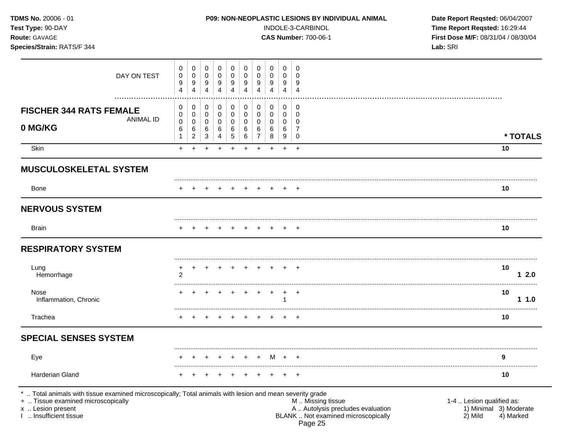|                       |                                    |                               |                               |                               |                               | INDOLE-3-CARBINOL<br><b>CAS Number: 700-06-1</b> | Time Report Reqsted: 16:29:44<br>First Dose M/F: 08/31/04 / 08/30/04<br>Lab: SRI |                       |                                      |            |
|-----------------------|------------------------------------|-------------------------------|-------------------------------|-------------------------------|-------------------------------|--------------------------------------------------|----------------------------------------------------------------------------------|-----------------------|--------------------------------------|------------|
| 0<br>0<br>9<br>4      | 0<br>0<br>9<br>4                   | 0<br>0<br>9<br>$\overline{4}$ | 0<br>0<br>9<br>$\overline{4}$ | 0<br>0<br>9<br>$\overline{4}$ | 0<br>0<br>9<br>$\overline{4}$ | 0<br>0<br>9<br>4                                 | 0<br>0<br>9<br>4                                                                 | 0<br>0<br>9<br>4      | 0<br>$\Omega$<br>9<br>$\overline{4}$ |            |
| 0<br>0<br>0<br>6<br>1 | 0<br>0<br>0<br>6<br>$\overline{c}$ | 0<br>0<br>0<br>6<br>3         | 0<br>0<br>0<br>6<br>4         | 0<br>0<br>0<br>6<br>5         | 0<br>0<br>0<br>6<br>6         | 0<br>$\mathbf 0$<br>0<br>6<br>$\overline{7}$     | 0<br>0<br>0<br>6<br>8                                                            | 0<br>0<br>0<br>6<br>9 | 0<br>$\mathbf 0$<br>0<br>7<br>0      | * TOTALS   |
| $+$                   | $\ddot{}$                          | +                             |                               |                               | $\ddot{}$                     | $\ddot{}$                                        | $\ddot{}$                                                                        | $\ddot{}$             | $\ddot{}$                            | 10         |
|                       |                                    |                               |                               |                               |                               |                                                  |                                                                                  |                       |                                      |            |
|                       |                                    |                               |                               |                               |                               |                                                  |                                                                                  |                       |                                      | 10         |
|                       |                                    |                               |                               |                               |                               |                                                  |                                                                                  |                       |                                      |            |
|                       |                                    |                               |                               |                               |                               |                                                  |                                                                                  |                       |                                      | 10         |
|                       |                                    |                               |                               |                               |                               |                                                  |                                                                                  |                       |                                      |            |
| $\overline{2}$        |                                    |                               |                               |                               |                               |                                                  |                                                                                  |                       |                                      | 10<br>12.0 |
|                       |                                    |                               |                               |                               |                               |                                                  |                                                                                  |                       | $^{+}$                               | 10<br>11.0 |
| $\pm$                 | $+$                                |                               |                               |                               |                               |                                                  |                                                                                  |                       |                                      | 10         |
|                       |                                    |                               |                               |                               |                               |                                                  |                                                                                  |                       |                                      |            |
|                       |                                    |                               |                               |                               |                               |                                                  | M                                                                                |                       |                                      | 9          |
|                       |                                    |                               |                               |                               |                               |                                                  |                                                                                  |                       |                                      | <br>10     |
|                       |                                    |                               |                               |                               | + + +                         |                                                  |                                                                                  |                       | $+$ $+$ $+$                          | $+$ $+$    |

Page 25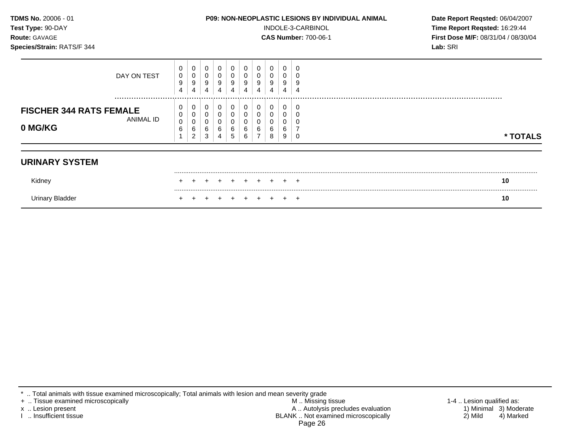| TDMS No. 20006 - 01<br>Test Type: 90-DAY<br>Route: GAVAGE<br>Species/Strain: RATS/F 344 | P09: NON-NEOPLASTIC LESIONS BY INDIVIDUAL ANIMAL<br>INDOLE-3-CARBINOL<br><b>CAS Number: 700-06-1</b>                                                    | Date Report Reqsted: 06/04/2007<br>Time Report Reqsted: 16:29:44<br>First Dose M/F: 08/31/04 / 08/30/04<br>Lab: SRI |
|-----------------------------------------------------------------------------------------|---------------------------------------------------------------------------------------------------------------------------------------------------------|---------------------------------------------------------------------------------------------------------------------|
| DAY ON TEST                                                                             | 0<br>0<br>0<br>0<br>0<br>0<br>0<br>0<br>0<br>0<br>0<br>C<br>9<br>9<br>9<br>9<br>9<br>9<br>9<br>9<br>9<br>c<br>4<br>4<br>4<br>4<br>4                     |                                                                                                                     |
| <br><b>FISCHER 344 RATS FEMALE</b><br>ANIMAL ID<br>0 MG/KG                              | 0<br>0<br>0<br>0<br>0<br>0<br>0<br>C<br>0<br>0<br>$\mathbf 0$<br>0<br>0<br>0<br>6<br>6<br>6<br>6<br>6<br>6<br>6<br>6<br>6<br>5<br>3<br>6<br>9<br>8<br>C | * TOTALS                                                                                                            |
| <b>URINARY SYSTEM</b>                                                                   |                                                                                                                                                         |                                                                                                                     |
| Kidney                                                                                  | $\div$                                                                                                                                                  | 10                                                                                                                  |
| <b>Urinary Bladder</b>                                                                  |                                                                                                                                                         | 10                                                                                                                  |

+ .. Tissue examined microscopically M .. Missing tissue 1-4 .. Lesion qualified as: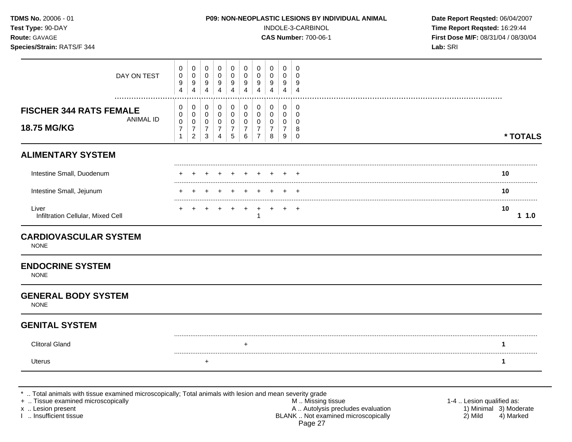| TDMS No. 20006 - 01<br>Test Type: 90-DAY<br>Route: GAVAGE<br>Species/Strain: RATS/F 344 |                                                                   |                                                 |                                              |                                                                     | P09: NON-NEOPLASTIC LESIONS BY INDIVIDUAL ANIMAL                       |                                                        |                                                                     | INDOLE-3-CARBINOL<br><b>CAS Number: 700-06-1</b> | Date Report Reqsted: 06/04/2007<br>Time Report Reqsted: 16:29:44<br>First Dose M/F: 08/31/04 / 08/30/04<br>Lab: SRI |                                      |                      |
|-----------------------------------------------------------------------------------------|-------------------------------------------------------------------|-------------------------------------------------|----------------------------------------------|---------------------------------------------------------------------|------------------------------------------------------------------------|--------------------------------------------------------|---------------------------------------------------------------------|--------------------------------------------------|---------------------------------------------------------------------------------------------------------------------|--------------------------------------|----------------------|
| DAY ON TEST                                                                             | 0<br>$\mathbf 0$<br>9<br>4                                        | 0<br>$\mathbf 0$<br>9<br>4                      | 0<br>0<br>9<br>$\overline{4}$                | 0<br>$\mathbf 0$<br>9<br>$\overline{4}$                             | 0<br>$\mathbf 0$<br>$\boldsymbol{9}$<br>$\overline{4}$                 | 0<br>$\mathbf 0$<br>$\boldsymbol{9}$<br>$\overline{4}$ | 0<br>$\mathbf 0$<br>9<br>4                                          | 0<br>$\mathbf 0$<br>9<br>4                       | 0<br>0<br>9<br>$\overline{\mathbf{4}}$                                                                              | 0<br>$\Omega$<br>9<br>$\overline{a}$ |                      |
| <b>FISCHER 344 RATS FEMALE</b><br><b>ANIMAL ID</b><br>18.75 MG/KG                       | 0<br>$\mathbf 0$<br>$\mathbf 0$<br>$\overline{7}$<br>$\mathbf{1}$ | 0<br>0<br>0<br>$\overline{7}$<br>$\overline{a}$ | 0<br>$\mathbf 0$<br>0<br>$\overline{7}$<br>3 | 0<br>$\mathbf 0$<br>$\mathbf 0$<br>$\overline{7}$<br>$\overline{4}$ | 0<br>$\overline{0}$<br>$\mathbf 0$<br>$\overline{7}$<br>$\overline{5}$ | 0<br>0<br>0<br>$\overline{7}$<br>6                     | 0<br>$\mathbf 0$<br>$\mathbf 0$<br>$\overline{7}$<br>$\overline{7}$ | 0<br>$\mathbf 0$<br>0<br>7<br>8                  | 0<br>$\mathbf 0$<br>0<br>7<br>$\boldsymbol{9}$                                                                      | 0<br>0<br>0<br>8<br>$\boldsymbol{0}$ | * TOTALS             |
| <b>ALIMENTARY SYSTEM</b>                                                                |                                                                   |                                                 |                                              |                                                                     |                                                                        |                                                        |                                                                     |                                                  |                                                                                                                     |                                      |                      |
| Intestine Small, Duodenum                                                               |                                                                   |                                                 |                                              |                                                                     | $^+$                                                                   | $\pm$                                                  |                                                                     |                                                  |                                                                                                                     | $^{+}$                               | 10                   |
| Intestine Small, Jejunum                                                                |                                                                   |                                                 |                                              |                                                                     |                                                                        |                                                        |                                                                     |                                                  |                                                                                                                     | $\overline{ }$                       | 10                   |
| Liver<br>Infiltration Cellular, Mixed Cell                                              |                                                                   |                                                 |                                              |                                                                     | $+$                                                                    | $\ddot{}$                                              | $\ddot{}$<br>1                                                      |                                                  |                                                                                                                     | $+$                                  | .<br>.<br>10<br>11.0 |
| <b>CARDIOVASCULAR SYSTEM</b><br><b>NONE</b>                                             |                                                                   |                                                 |                                              |                                                                     |                                                                        |                                                        |                                                                     |                                                  |                                                                                                                     |                                      |                      |
| <b>ENDOCRINE SYSTEM</b><br><b>NONE</b>                                                  |                                                                   |                                                 |                                              |                                                                     |                                                                        |                                                        |                                                                     |                                                  |                                                                                                                     |                                      |                      |
| <b>GENERAL BODY SYSTEM</b><br><b>NONE</b>                                               |                                                                   |                                                 |                                              |                                                                     |                                                                        |                                                        |                                                                     |                                                  |                                                                                                                     |                                      |                      |
| <b>GENITAL SYSTEM</b>                                                                   |                                                                   |                                                 |                                              |                                                                     |                                                                        |                                                        |                                                                     |                                                  |                                                                                                                     |                                      |                      |
| <b>Clitoral Gland</b>                                                                   |                                                                   |                                                 |                                              |                                                                     |                                                                        |                                                        |                                                                     |                                                  |                                                                                                                     |                                      | 1                    |
| Uterus                                                                                  |                                                                   |                                                 | $\ddot{}$                                    |                                                                     |                                                                        |                                                        |                                                                     |                                                  |                                                                                                                     |                                      | $\mathbf 1$          |

+ .. Tissue examined microscopically M .. Missing tissue 1-4 .. Lesion qualified as: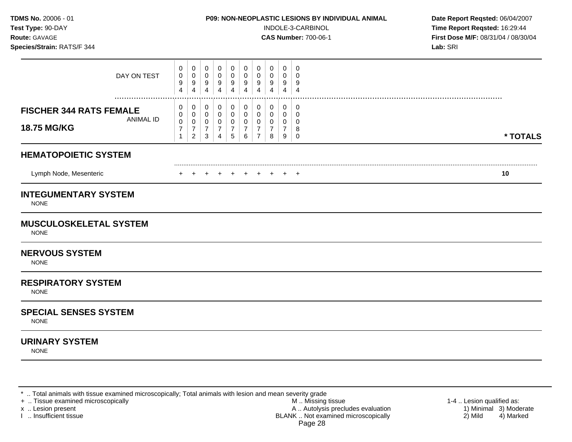| TDMS No. 20006 - 01<br>Test Type: 90-DAY<br>Route: GAVAGE<br>Species/Strain: RATS/F 344 |                                                                   |                                    |                                         |                                                           | P09: NON-NEOPLASTIC LESIONS BY INDIVIDUAL ANIMAL                    |                                                        | INDOLE-3-CARBINOL<br><b>CAS Number: 700-06-1</b> | Date Report Reqsted: 06/04/2007<br>Time Report Reqsted: 16:29:44<br>First Dose M/F: 08/31/04 / 08/30/04<br>Lab: SRI |                                                |                                         |          |
|-----------------------------------------------------------------------------------------|-------------------------------------------------------------------|------------------------------------|-----------------------------------------|-----------------------------------------------------------|---------------------------------------------------------------------|--------------------------------------------------------|--------------------------------------------------|---------------------------------------------------------------------------------------------------------------------|------------------------------------------------|-----------------------------------------|----------|
| DAY ON TEST                                                                             | 0<br>$\boldsymbol{0}$<br>9<br>4                                   | 0<br>0<br>9<br>4                   | 0<br>$\mathbf 0$<br>9<br>$\overline{4}$ | 0<br>$\pmb{0}$<br>9<br>$\overline{4}$                     | $\mathbf 0$<br>$\boldsymbol{0}$<br>9<br>$\overline{4}$              | 0<br>$\mathbf 0$<br>$\boldsymbol{9}$<br>$\overline{4}$ | 0<br>$\mathbf 0$<br>9<br>4                       | 0<br>$\mathbf 0$<br>9<br>4                                                                                          | 0<br>0<br>9<br>4                               | 0<br>$\mathbf 0$<br>9<br>$\overline{4}$ |          |
| <b>FISCHER 344 RATS FEMALE</b><br><b>ANIMAL ID</b><br>18.75 MG/KG                       | 0<br>$\mathbf 0$<br>$\mathbf 0$<br>$\overline{7}$<br>$\mathbf{1}$ | 0<br>0<br>0<br>7<br>$\overline{a}$ | 0<br>0<br>0<br>$\overline{7}$<br>3      | 0<br>$\mathbf 0$<br>0<br>$\overline{7}$<br>$\overline{4}$ | 0<br>$\mathbf 0$<br>$\mathbf 0$<br>$\overline{7}$<br>$\overline{5}$ | 0<br>$\mathbf 0$<br>$\mathbf 0$<br>$\overline{7}$<br>6 | 0<br>$\mathbf 0$<br>0<br>7<br>$\overline{7}$     | 0<br>$\mathbf 0$<br>0<br>7<br>8                                                                                     | 0<br>$\mathbf 0$<br>0<br>7<br>$\boldsymbol{9}$ | 0<br>$\Omega$<br>0<br>8<br>$\pmb{0}$    | * TOTALS |
| <b>HEMATOPOIETIC SYSTEM</b>                                                             |                                                                   |                                    |                                         |                                                           |                                                                     |                                                        |                                                  |                                                                                                                     |                                                |                                         |          |
| Lymph Node, Mesenteric                                                                  |                                                                   |                                    |                                         |                                                           |                                                                     |                                                        |                                                  | + + + + + + + +                                                                                                     |                                                |                                         | 10       |
| <b>INTEGUMENTARY SYSTEM</b><br><b>NONE</b>                                              |                                                                   |                                    |                                         |                                                           |                                                                     |                                                        |                                                  |                                                                                                                     |                                                |                                         |          |
| <b>MUSCULOSKELETAL SYSTEM</b><br><b>NONE</b>                                            |                                                                   |                                    |                                         |                                                           |                                                                     |                                                        |                                                  |                                                                                                                     |                                                |                                         |          |
| <b>NERVOUS SYSTEM</b><br><b>NONE</b>                                                    |                                                                   |                                    |                                         |                                                           |                                                                     |                                                        |                                                  |                                                                                                                     |                                                |                                         |          |
| <b>RESPIRATORY SYSTEM</b><br><b>NONE</b>                                                |                                                                   |                                    |                                         |                                                           |                                                                     |                                                        |                                                  |                                                                                                                     |                                                |                                         |          |
| <b>SPECIAL SENSES SYSTEM</b><br><b>NONE</b>                                             |                                                                   |                                    |                                         |                                                           |                                                                     |                                                        |                                                  |                                                                                                                     |                                                |                                         |          |
| <b>URINARY SYSTEM</b><br><b>NONE</b>                                                    |                                                                   |                                    |                                         |                                                           |                                                                     |                                                        |                                                  |                                                                                                                     |                                                |                                         |          |
|                                                                                         |                                                                   |                                    |                                         |                                                           |                                                                     |                                                        |                                                  |                                                                                                                     |                                                |                                         |          |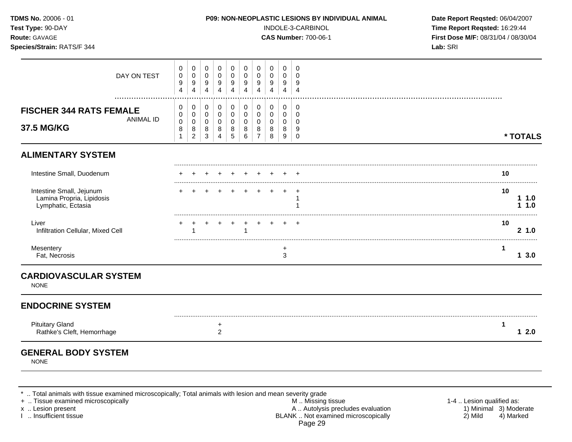| TDMS No. 20006 - 01<br>Test Type: 90-DAY<br>Route: GAVAGE<br>Species/Strain: RATS/F 344 |                                                      |                                              |                                          | P09: NON-NEOPLASTIC LESIONS BY INDIVIDUAL ANIMAL                 |                                                    |                                         | INDOLE-3-CARBINOL<br><b>CAS Number: 700-06-1</b>       | Date Report Reqsted: 06/04/2007<br>Time Report Reqsted: 16:29:44<br>First Dose M/F: 08/31/04 / 08/30/04<br>Lab: SRI |                               |                                                   |  |                      |
|-----------------------------------------------------------------------------------------|------------------------------------------------------|----------------------------------------------|------------------------------------------|------------------------------------------------------------------|----------------------------------------------------|-----------------------------------------|--------------------------------------------------------|---------------------------------------------------------------------------------------------------------------------|-------------------------------|---------------------------------------------------|--|----------------------|
| DAY ON TEST                                                                             | 0<br>$\pmb{0}$<br>9<br>$\overline{4}$                | 0<br>$\pmb{0}$<br>9<br>4                     | 0<br>0<br>9<br>$\overline{4}$            | $\mathbf 0$<br>$\mathbf 0$<br>$\boldsymbol{9}$<br>$\overline{4}$ | 0<br>$\mathbf 0$<br>9<br>$\overline{4}$            | 0<br>$\mathbf 0$<br>9<br>$\overline{4}$ | 0<br>$\mathbf 0$<br>9<br>$\overline{4}$                | $\mathbf 0$<br>$\mathbf 0$<br>9<br>$\overline{4}$                                                                   | 0<br>0<br>9<br>$\overline{4}$ | $\mathbf 0$<br>$\Omega$<br>9<br>$\overline{4}$    |  |                      |
| <b>FISCHER 344 RATS FEMALE</b><br><b>ANIMAL ID</b><br>37.5 MG/KG                        | 0<br>$\mathbf 0$<br>$\mathbf 0$<br>8<br>$\mathbf{1}$ | 0<br>$\mathbf 0$<br>0<br>8<br>$\overline{c}$ | 0<br>$\mathbf 0$<br>0<br>8<br>$\sqrt{3}$ | 0<br>$\mathbf 0$<br>$\mathbf 0$<br>8<br>$\overline{4}$           | 0<br>$\mathbf 0$<br>$\mathbf 0$<br>8<br>$\sqrt{5}$ | 0<br>$\pmb{0}$<br>0<br>8<br>$\,6\,$     | 0<br>$\mathbf 0$<br>$\mathbf 0$<br>8<br>$\overline{7}$ | 0<br>$\mathbf 0$<br>0<br>8<br>8                                                                                     | 0<br>0<br>0<br>8<br>9         | 0<br>$\mathbf 0$<br>$\mathbf 0$<br>9<br>$\pmb{0}$ |  | * TOTALS             |
| <b>ALIMENTARY SYSTEM</b>                                                                |                                                      |                                              |                                          |                                                                  |                                                    |                                         |                                                        |                                                                                                                     |                               |                                                   |  |                      |
| Intestine Small, Duodenum                                                               |                                                      |                                              |                                          |                                                                  |                                                    |                                         |                                                        |                                                                                                                     |                               |                                                   |  | 10                   |
| Intestine Small, Jejunum<br>Lamina Propria, Lipidosis<br>Lymphatic, Ectasia             |                                                      |                                              |                                          |                                                                  |                                                    | $\pm$                                   | $\pm$                                                  | $\div$                                                                                                              | $\pm$                         | $\pm$<br>-1                                       |  | 10<br>11.0<br>1.0    |
| Liver<br>Infiltration Cellular, Mixed Cell                                              |                                                      |                                              |                                          |                                                                  |                                                    | 1                                       |                                                        |                                                                                                                     |                               |                                                   |  | 10<br>21.0           |
| Mesentery<br>Fat, Necrosis                                                              |                                                      |                                              |                                          |                                                                  |                                                    |                                         |                                                        |                                                                                                                     | +<br>3                        |                                                   |  | 1<br>13.0            |
| <b>CARDIOVASCULAR SYSTEM</b><br><b>NONE</b>                                             |                                                      |                                              |                                          |                                                                  |                                                    |                                         |                                                        |                                                                                                                     |                               |                                                   |  |                      |
| <b>ENDOCRINE SYSTEM</b>                                                                 |                                                      |                                              |                                          |                                                                  |                                                    |                                         |                                                        |                                                                                                                     |                               |                                                   |  |                      |
| <b>Pituitary Gland</b><br>Rathke's Cleft, Hemorrhage                                    |                                                      |                                              |                                          | +<br>$\sqrt{2}$                                                  |                                                    |                                         |                                                        |                                                                                                                     |                               |                                                   |  | $\mathbf{1}$<br>12.0 |
| <b>GENERAL BODY SYSTEM</b><br><b>NONE</b>                                               |                                                      |                                              |                                          |                                                                  |                                                    |                                         |                                                        |                                                                                                                     |                               |                                                   |  |                      |

- + .. Tissue examined microscopically M .. Missing tissue 1-4 .. Lesion qualified as: x .. Lesion present 1) Minimal 3) Moderate A .. Autor A .. Autor A .. Autor A .. Autor A .. Autor A .. Autor A .. Autor A .. Autor A .. Autor A .. Autor A .. Autor A .. Autor A .. Autor A .. Autor A .. Autor A .. Autor A . I .. Insufficient tissue BLANK .. Not examined microscopically 2) Mild 4) Marked Page 29
-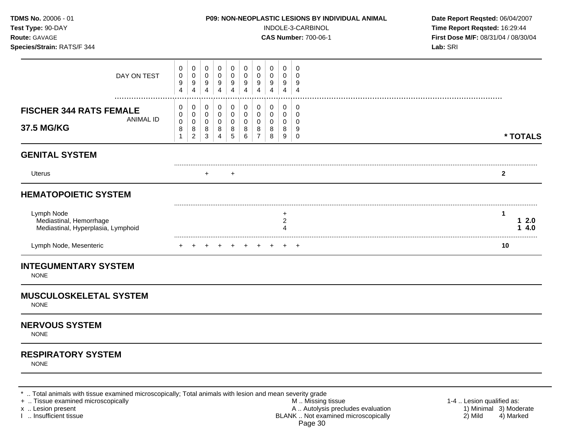| TDMS No. 20006 - 01<br>Test Type: 90-DAY<br>Route: GAVAGE<br>Species/Strain: RATS/F 344 |                                            |                                              |                                         |                                              |                                        | P09: NON-NEOPLASTIC LESIONS BY INDIVIDUAL ANIMAL | INDOLE-3-CARBINOL<br><b>CAS Number: 700-06-1</b> | Date Report Reqsted: 06/04/2007<br>Time Report Reqsted: 16:29:44<br>First Dose M/F: 08/31/04 / 08/30/04<br>Lab: SRI |                          |                                                |                        |
|-----------------------------------------------------------------------------------------|--------------------------------------------|----------------------------------------------|-----------------------------------------|----------------------------------------------|----------------------------------------|--------------------------------------------------|--------------------------------------------------|---------------------------------------------------------------------------------------------------------------------|--------------------------|------------------------------------------------|------------------------|
| DAY ON TEST                                                                             | 0<br>0<br>9<br>$\overline{4}$              | 0<br>0<br>9<br>4                             | $\mathbf 0$<br>0<br>9<br>$\overline{4}$ | 0<br>$\mathbf 0$<br>9<br>$\overline{4}$      | 0<br>0<br>9<br>$\overline{\mathbf{4}}$ | 0<br>0<br>9<br>$\overline{4}$                    | 0<br>0<br>9<br>$\overline{4}$                    | $\mathbf 0$<br>0<br>9<br>$\overline{4}$                                                                             | 0<br>0<br>9<br>4         | $\mathbf 0$<br>$\Omega$<br>9<br>$\overline{4}$ |                        |
| <b>FISCHER 344 RATS FEMALE</b><br><b>ANIMAL ID</b><br>37.5 MG/KG                        | 0<br>0<br>$\mathbf 0$<br>8<br>$\mathbf{1}$ | 0<br>0<br>$\mathbf 0$<br>8<br>$\overline{c}$ | 0<br>0<br>$\mathbf 0$<br>8<br>3         | 0<br>0<br>$\mathbf 0$<br>8<br>$\overline{4}$ | 0<br>0<br>$\mathbf 0$<br>8<br>5        | 0<br>0<br>$\mathbf 0$<br>8<br>6                  | 0<br>0<br>$\mathbf 0$<br>8<br>$\overline{7}$     | 0<br>0<br>0<br>8<br>8                                                                                               | 0<br>0<br>0<br>8<br>9    | 0<br>0<br>0<br>9<br>0                          | * TOTALS               |
| <b>GENITAL SYSTEM</b>                                                                   |                                            |                                              |                                         |                                              |                                        |                                                  |                                                  |                                                                                                                     |                          |                                                |                        |
| Uterus                                                                                  |                                            |                                              | $\ddot{}$                               |                                              | $\ddot{}$                              |                                                  |                                                  |                                                                                                                     |                          |                                                | $\mathbf{2}$           |
| <b>HEMATOPOIETIC SYSTEM</b>                                                             |                                            |                                              |                                         |                                              |                                        |                                                  |                                                  |                                                                                                                     |                          |                                                |                        |
| Lymph Node<br>Mediastinal, Hemorrhage<br>Mediastinal, Hyperplasia, Lymphoid             |                                            |                                              |                                         |                                              |                                        |                                                  |                                                  |                                                                                                                     | +<br>$\overline{c}$<br>4 |                                                | 1<br>12.0<br>4.0<br>1. |
| Lymph Node, Mesenteric                                                                  |                                            |                                              |                                         |                                              |                                        |                                                  |                                                  |                                                                                                                     |                          | $+$ $+$                                        | 10                     |
| <b>INTEGUMENTARY SYSTEM</b><br><b>NONE</b>                                              |                                            |                                              |                                         |                                              |                                        |                                                  |                                                  |                                                                                                                     |                          |                                                |                        |
| <b>MUSCULOSKELETAL SYSTEM</b><br><b>NONE</b>                                            |                                            |                                              |                                         |                                              |                                        |                                                  |                                                  |                                                                                                                     |                          |                                                |                        |
| <b>NERVOUS SYSTEM</b><br><b>NONE</b>                                                    |                                            |                                              |                                         |                                              |                                        |                                                  |                                                  |                                                                                                                     |                          |                                                |                        |
| <b>RESPIRATORY SYSTEM</b>                                                               |                                            |                                              |                                         |                                              |                                        |                                                  |                                                  |                                                                                                                     |                          |                                                |                        |

NONE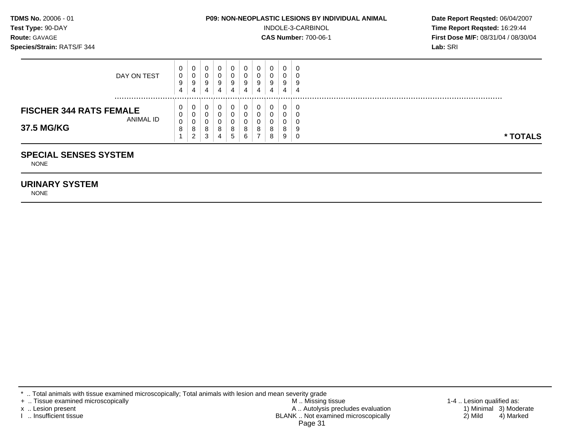| <b>TDMS No.</b> 20006 - 01 |  |
|----------------------------|--|
| Test Type: 90-DAY          |  |
| <b>Route:</b> GAVAGE       |  |

#### **P09: NON-NEOPLASTIC LESIONS BY INDIVIDUAL ANIMAL Date Report Reqsted: 06/04/2007**

**INDOLE-3-CARBINOL Time Report Reqsted:** 16:29:44 **Route:** GAVAGE **CAS Number:** 700-06-1 **First Dose M/F:** 08/31/04 / 08/30/04 **Species/Strain:** RATS/F 344 **Lab:** SRI

| <b>SPECIAL SENSES SYSTEM</b>                |                |                |        |   |        |        |        |        |   |          |
|---------------------------------------------|----------------|----------------|--------|---|--------|--------|--------|--------|---|----------|
|                                             |                | $\overline{2}$ | 3      | 4 | 5      | 6      | 8      | 9      | U | * TOTALS |
| 37.5 MG/KG                                  | 0<br>8         | 0<br>8         | U<br>8 | 8 | U<br>8 | 0<br>8 | 0<br>8 | 0<br>8 |   |          |
| <b>FISCHER 344 RATS FEMALE</b><br>ANIMAL ID | 0              |                | U      |   | C      |        |        | 0      |   |          |
|                                             | 0              | 0              | 0      | υ | 0      | 0      | 0      | 0      |   |          |
|                                             | $\overline{4}$ | 4              | 4      | 4 | 4      | 4      | 4      | 4      | 4 | .        |
|                                             | 9              | 9              | 9      | 9 | 9      | 9      | 9      | 9      |   |          |
| DAY ON TEST                                 | 0              | υ              | U      |   | U      | U      | 0      | 0      |   |          |
|                                             | 0              | 0              | 0      | υ | 0      | 0      | 0      | 0      |   |          |

NONE

#### **URINARY SYSTEM**

NONE

\* .. Total animals with tissue examined microscopically; Total animals with lesion and mean severity grade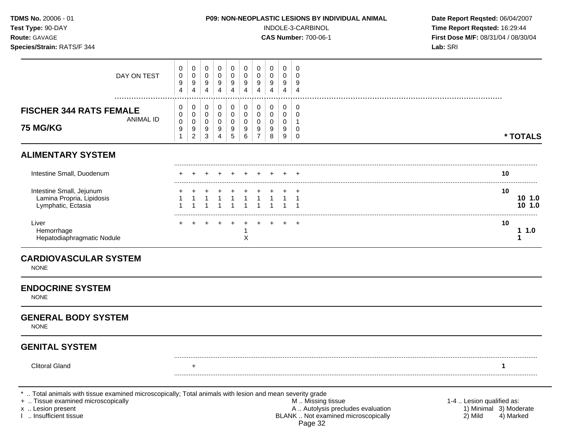| TDMS No. 20006 - 01<br>Test Type: 90-DAY<br>Route: GAVAGE<br>Species/Strain: RATS/F 344                                                                                                 |                               |                                    |                       |                                    |                                         |                               | P09: NON-NEOPLASTIC LESIONS BY INDIVIDUAL ANIMAL<br>INDOLE-3-CARBINOL<br><b>CAS Number: 700-06-1</b> | Date Report Reqsted: 06/04/2007<br>Time Report Reqsted: 16:29:44<br>First Dose M/F: 08/31/04 / 08/30/04<br>Lab: SRI |                       |                                                                                                          |                                                                             |
|-----------------------------------------------------------------------------------------------------------------------------------------------------------------------------------------|-------------------------------|------------------------------------|-----------------------|------------------------------------|-----------------------------------------|-------------------------------|------------------------------------------------------------------------------------------------------|---------------------------------------------------------------------------------------------------------------------|-----------------------|----------------------------------------------------------------------------------------------------------|-----------------------------------------------------------------------------|
| DAY ON TEST                                                                                                                                                                             | 0<br>0<br>9<br>4              | 0<br>0<br>9<br>4                   | 0<br>0<br>9<br>4      | 0<br>0<br>9<br>4                   | 0<br>$\mathbf 0$<br>9<br>$\overline{4}$ | 0<br>$\pmb{0}$<br>9<br>4      | 0<br>0<br>9<br>4                                                                                     | 0<br>0<br>9<br>4                                                                                                    | 0<br>0<br>9<br>4      | 0<br>$\Omega$<br>9<br>$\overline{4}$                                                                     |                                                                             |
| <b>FISCHER 344 RATS FEMALE</b><br><b>ANIMAL ID</b><br><b>75 MG/KG</b>                                                                                                                   | 0<br>0<br>$\pmb{0}$<br>9<br>1 | 0<br>0<br>0<br>9<br>$\overline{c}$ | 0<br>0<br>0<br>9<br>3 | 0<br>0<br>0<br>9<br>$\overline{4}$ | 0<br>0<br>0<br>9<br>5                   | 0<br>$\pmb{0}$<br>0<br>9<br>6 | 0<br>0<br>0<br>9<br>$\overline{7}$                                                                   | 0<br>0<br>0<br>9<br>8                                                                                               | 0<br>0<br>0<br>9<br>9 | 0<br>0<br>-1<br>0<br>0                                                                                   | * TOTALS                                                                    |
| <b>ALIMENTARY SYSTEM</b>                                                                                                                                                                |                               |                                    |                       |                                    |                                         |                               |                                                                                                      |                                                                                                                     |                       |                                                                                                          |                                                                             |
| Intestine Small, Duodenum                                                                                                                                                               |                               |                                    |                       |                                    |                                         |                               |                                                                                                      |                                                                                                                     |                       |                                                                                                          | 10                                                                          |
| Intestine Small, Jejunum<br>Lamina Propria, Lipidosis<br>Lymphatic, Ectasia                                                                                                             |                               |                                    |                       |                                    | $\mathbf{1}$                            | $\mathbf{1}$                  | $\overline{1}$                                                                                       | $\mathbf{1}$                                                                                                        | 1                     | -1                                                                                                       | 10<br>101.0<br>10 1.0                                                       |
| Liver<br>Hemorrhage<br>Hepatodiaphragmatic Nodule                                                                                                                                       |                               |                                    |                       |                                    |                                         | X                             |                                                                                                      | $\pm$                                                                                                               | $+$                   | $^{+}$                                                                                                   | 10<br>11.0<br>1                                                             |
| <b>CARDIOVASCULAR SYSTEM</b><br><b>NONE</b>                                                                                                                                             |                               |                                    |                       |                                    |                                         |                               |                                                                                                      |                                                                                                                     |                       |                                                                                                          |                                                                             |
| <b>ENDOCRINE SYSTEM</b><br><b>NONE</b>                                                                                                                                                  |                               |                                    |                       |                                    |                                         |                               |                                                                                                      |                                                                                                                     |                       |                                                                                                          |                                                                             |
| <b>GENERAL BODY SYSTEM</b><br><b>NONE</b>                                                                                                                                               |                               |                                    |                       |                                    |                                         |                               |                                                                                                      |                                                                                                                     |                       |                                                                                                          |                                                                             |
| <b>GENITAL SYSTEM</b>                                                                                                                                                                   |                               |                                    |                       |                                    |                                         |                               |                                                                                                      |                                                                                                                     |                       |                                                                                                          |                                                                             |
| <b>Clitoral Gland</b>                                                                                                                                                                   |                               | $\ddot{}$                          |                       |                                    |                                         |                               |                                                                                                      |                                                                                                                     |                       |                                                                                                          |                                                                             |
| Total animals with tissue examined microscopically; Total animals with lesion and mean severity grade<br>+  Tissue examined microscopically<br>x  Lesion present<br>Insufficient tissue |                               |                                    |                       |                                    |                                         |                               |                                                                                                      |                                                                                                                     |                       | M  Missing tissue<br>A  Autolysis precludes evaluation<br>BLANK  Not examined microscopically<br>Page 32 | 1-4  Lesion qualified as:<br>1) Minimal 3) Moderate<br>2) Mild<br>4) Marked |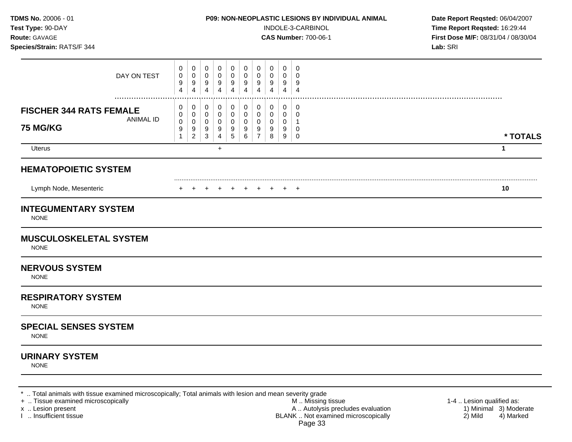| TDMS No. 20006 - 01<br>Test Type: 90-DAY<br>Route: GAVAGE<br>Species/Strain: RATS/F 344 | P09: NON-NEOPLASTIC LESIONS BY INDIVIDUAL ANIMAL<br>INDOLE-3-CARBINOL<br><b>CAS Number: 700-06-1</b>                                                                                                                                                                                                                     | Date Report Reqsted: 06/04/2007<br>Time Report Reqsted: 16:29:44<br>First Dose M/F: 08/31/04 / 08/30/04<br>Lab: SRI |  |
|-----------------------------------------------------------------------------------------|--------------------------------------------------------------------------------------------------------------------------------------------------------------------------------------------------------------------------------------------------------------------------------------------------------------------------|---------------------------------------------------------------------------------------------------------------------|--|
| DAY ON TEST                                                                             | 0<br>0<br>0<br>0<br>0<br>0<br>$\mathbf 0$<br>0<br>0<br>0<br>0<br>0<br>0<br>0<br>0<br>0<br>0<br>0<br>0<br>0<br>9<br>$\boldsymbol{9}$<br>9<br>9<br>9<br>9<br>9<br>9<br>9<br>9<br>$\overline{4}$<br>$\overline{4}$<br>$\overline{4}$<br>$\overline{\mathbf{4}}$<br>4<br>$\overline{4}$<br>4<br>4<br>4<br>$\overline{4}$     |                                                                                                                     |  |
| <b>FISCHER 344 RATS FEMALE</b><br><b>ANIMAL ID</b><br><b>75 MG/KG</b>                   | 0<br>0<br>0<br>0<br>0<br>0<br>0<br>0<br>0<br>0<br>0<br>$\mathbf 0$<br>0<br>$\Omega$<br>$\Omega$<br>$\Omega$<br>0<br>0<br>0<br>0<br>$\pmb{0}$<br>0<br>0<br>0<br>0<br>0<br>0<br>0<br>0<br>-1<br>9<br>9<br>9<br>9<br>9<br>9<br>9<br>9<br>9<br>0<br>5<br>6<br>$\overline{7}$<br>$\overline{2}$<br>3<br>4<br>8<br>9<br>1<br>0 | * TOTALS                                                                                                            |  |
| Uterus                                                                                  | $+$                                                                                                                                                                                                                                                                                                                      | $\mathbf 1$                                                                                                         |  |
| <b>HEMATOPOIETIC SYSTEM</b><br>Lymph Node, Mesenteric                                   | $+$ $+$<br>+ +<br>+ + +                                                                                                                                                                                                                                                                                                  | 10                                                                                                                  |  |
| <b>INTEGUMENTARY SYSTEM</b><br><b>NONE</b>                                              |                                                                                                                                                                                                                                                                                                                          |                                                                                                                     |  |
| <b>MUSCULOSKELETAL SYSTEM</b><br><b>NONE</b>                                            |                                                                                                                                                                                                                                                                                                                          |                                                                                                                     |  |
| <b>NERVOUS SYSTEM</b><br><b>NONE</b>                                                    |                                                                                                                                                                                                                                                                                                                          |                                                                                                                     |  |
| <b>RESPIRATORY SYSTEM</b><br><b>NONE</b>                                                |                                                                                                                                                                                                                                                                                                                          |                                                                                                                     |  |
| <b>SPECIAL SENSES SYSTEM</b><br><b>NONE</b>                                             |                                                                                                                                                                                                                                                                                                                          |                                                                                                                     |  |
| <b>URINARY SYSTEM</b><br><b>NONE</b>                                                    |                                                                                                                                                                                                                                                                                                                          |                                                                                                                     |  |

+ .. Tissue examined microscopically M .. Missing tissue 1-4 .. Lesion qualified as: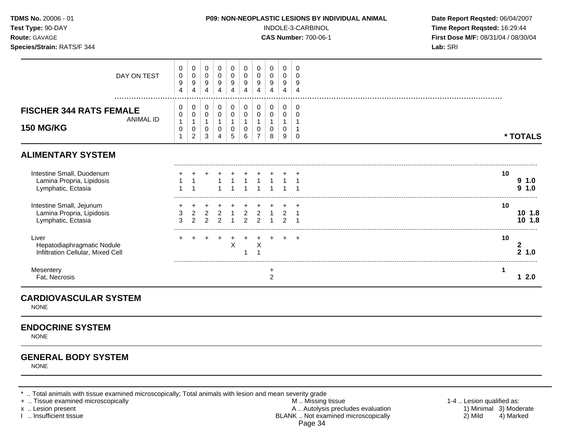| Date Report Reqsted: 06/04/2007<br>Time Report Reqsted: 16:29:44<br>First Dose M/F: 08/31/04 / 08/30/04 | Lab: SRI | P09: NON-NEOPLASTIC LESIONS BY INDIVIDUAL ANIMAL | INDOLE-3-CARBINOL<br><b>CAS Number: 700-06-1</b> |                                                                               |                                                  | TDMS No. 20006 - 01<br>Test Type: 90-DAY<br>Route: GAVAGE<br>Species/Strain: RATS/F 344 |                                                      |                                                    |                                                                 |                                                               |                                                 |                                             |                                                                              |
|---------------------------------------------------------------------------------------------------------|----------|--------------------------------------------------|--------------------------------------------------|-------------------------------------------------------------------------------|--------------------------------------------------|-----------------------------------------------------------------------------------------|------------------------------------------------------|----------------------------------------------------|-----------------------------------------------------------------|---------------------------------------------------------------|-------------------------------------------------|---------------------------------------------|------------------------------------------------------------------------------|
|                                                                                                         |          |                                                  | 0<br>$\mathbf 0$                                 | 0<br>0<br>9<br>4                                                              | 0<br>0<br>9<br>$\overline{4}$                    | 0<br>$\mathbf 0$<br>9<br>$\overline{4}$                                                 | 0<br>$\pmb{0}$<br>$\boldsymbol{9}$<br>$\overline{4}$ | 0<br>$\mathbf 0$<br>9<br>$\overline{4}$            | 0<br>$\mathbf 0$<br>$\boldsymbol{9}$<br>$\overline{4}$          | 0<br>0<br>$\boldsymbol{9}$<br>$\overline{4}$                  | 0<br>0<br>9<br>$\overline{4}$                   | 0<br>$\pmb{0}$<br>9<br>4                    | DAY ON TEST                                                                  |
| * TOTALS                                                                                                |          |                                                  | 0<br>0<br>$\pmb{0}$                              | 0<br>$\pmb{0}$<br>$\mathbf{1}$<br>0<br>9                                      | $\pmb{0}$<br>$\pmb{0}$<br>$\mathbf{1}$<br>0<br>8 | 0<br>$\pmb{0}$<br>$\mathbf{1}$<br>0<br>$\overline{7}$                                   | 0<br>$\pmb{0}$<br>$\mathbf{1}$<br>$\pmb{0}$<br>6     | 0<br>$\pmb{0}$<br>$\mathbf{1}$<br>$\mathbf 0$<br>5 | 0<br>$\pmb{0}$<br>$\mathbf{1}$<br>$\mathbf 0$<br>$\overline{4}$ | 0<br>$\mathsf{O}\xspace$<br>$\mathbf{1}$<br>0<br>$\mathbf{3}$ | 0<br>0<br>$\mathbf{1}$<br>0<br>$\boldsymbol{2}$ | 0<br>0<br>$\mathbf{1}$<br>0<br>$\mathbf{1}$ | <b>FISCHER 344 RATS FEMALE</b><br><b>ANIMAL ID</b><br><b>150 MG/KG</b>       |
|                                                                                                         |          |                                                  |                                                  |                                                                               |                                                  |                                                                                         |                                                      |                                                    |                                                                 |                                                               |                                                 |                                             | <b>ALIMENTARY SYSTEM</b>                                                     |
| 10<br>91.0<br>9 1.0                                                                                     |          |                                                  |                                                  | $\overline{1}$                                                                |                                                  |                                                                                         |                                                      |                                                    |                                                                 |                                                               | $\overline{1}$                                  |                                             | Intestine Small, Duodenum<br>Lamina Propria, Lipidosis<br>Lymphatic, Ectasia |
| 10<br>101.8<br>10 1.8                                                                                   |          |                                                  |                                                  | $\overline{2}$<br>$\overline{1}$<br>$\overline{2}$<br>$\overline{\mathbf{1}}$ | $\overline{1}$<br>$\mathbf{1}$                   | $\overline{2}$<br>2                                                                     | $\overline{2}$<br>2                                  | $\overline{1}$<br>$\overline{1}$                   | $\overline{2}$<br>2                                             | $\overline{2}$<br>$\mathcal{P}$                               | $\overline{2}$<br>$\mathcal{P}$                 | 3                                           | Intestine Small, Jejunum<br>Lamina Propria, Lipidosis<br>Lymphatic, Ectasia  |
| 10<br>$\mathbf{2}$<br>21.0                                                                              |          |                                                  |                                                  | $+$                                                                           | $\pm$                                            | X<br>$\overline{1}$                                                                     | 1                                                    | $\ddot{}$<br>$\mathsf X$                           |                                                                 |                                                               |                                                 |                                             | Liver<br>Hepatodiaphragmatic Nodule<br>Infiltration Cellular, Mixed Cell     |
| 1<br>$12.0$                                                                                             |          |                                                  |                                                  |                                                                               | $\ddot{}$<br>$\overline{c}$                      |                                                                                         |                                                      |                                                    |                                                                 |                                                               |                                                 |                                             | Mesentery<br>Fat, Necrosis                                                   |
|                                                                                                         |          |                                                  |                                                  |                                                                               |                                                  |                                                                                         |                                                      |                                                    |                                                                 |                                                               |                                                 |                                             | <b>CARDIOVASCULAR SYSTEM</b><br><b>NONE</b>                                  |
|                                                                                                         |          |                                                  |                                                  |                                                                               |                                                  |                                                                                         |                                                      |                                                    |                                                                 |                                                               |                                                 |                                             | <b>ENDOCRINE SYSTEM</b><br><b>NONE</b>                                       |
|                                                                                                         |          |                                                  |                                                  |                                                                               |                                                  |                                                                                         |                                                      |                                                    |                                                                 |                                                               |                                                 |                                             | <b>GENERAL BODY SYSTEM</b>                                                   |

NONE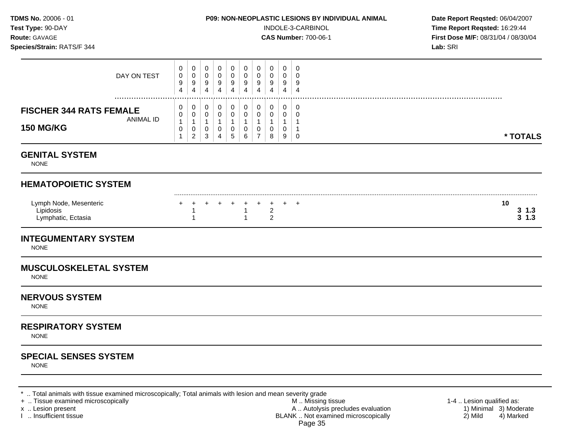| <b>TDMS No.</b> 20006 - 01 |  |
|----------------------------|--|
| Test Type: 90-DAY          |  |
| $D$ outo: $C$ AVACE        |  |

#### **P09: NON-NEOPLASTIC LESIONS BY INDIVIDUAL ANIMAL Date Report Reqsted: 06/04/2007**

**INDOLE-3-CARBINOL Time Report Reqsted:** 16:29:44 **Route:** GAVAGE **CAS Number:** 700-06-1 **First Dose M/F:** 08/31/04 / 08/30/04

| Species/Strain: RATS/F 344                                             |                                                                         |                                                                   |                                                                          |                                                         |                                                                 |                                                          |                                                                             |                                                            |                                            |                                                                | Lab: SRI                       |
|------------------------------------------------------------------------|-------------------------------------------------------------------------|-------------------------------------------------------------------|--------------------------------------------------------------------------|---------------------------------------------------------|-----------------------------------------------------------------|----------------------------------------------------------|-----------------------------------------------------------------------------|------------------------------------------------------------|--------------------------------------------|----------------------------------------------------------------|--------------------------------|
| DAY ON TEST                                                            | 0<br>$\pmb{0}$<br>$\boldsymbol{9}$<br>4                                 | 0<br>$\mathbf 0$<br>9<br>4                                        | 0<br>0<br>9<br>4                                                         | 0<br>0<br>9<br>$\overline{4}$                           | $\mathbf 0$<br>$\pmb{0}$<br>9<br>$\overline{4}$                 | $\mathbf{0}$<br>0<br>$9\,$<br>4                          | 0<br>$\mathbf 0$<br>9<br>$\overline{4}$                                     | $\mathbf 0$<br>0<br>9<br>4                                 | $\mathbf 0$<br>0<br>9<br>4                 | $\mathbf 0$<br>$\Omega$<br>9<br>$\overline{4}$                 |                                |
| <b>FISCHER 344 RATS FEMALE</b><br><b>ANIMAL ID</b><br><b>150 MG/KG</b> | 0<br>$\mathbf 0$<br>$\mathbf{1}$<br>$\mathsf{O}\xspace$<br>$\mathbf{1}$ | 0<br>$\mathbf 0$<br>$\mathbf{1}$<br>$\mathbf 0$<br>$\overline{c}$ | 0<br>$\pmb{0}$<br>$\mathbf{1}$<br>$\pmb{0}$<br>$\ensuremath{\mathsf{3}}$ | 0<br>0<br>$\mathbf{1}$<br>$\mathbf 0$<br>$\overline{4}$ | 0<br>$\mathbf 0$<br>$\mathbf{1}$<br>$\pmb{0}$<br>$\overline{5}$ | 0<br>$\pmb{0}$<br>$\mathbf{1}$<br>$\mathbf 0$<br>$\,6\,$ | 0<br>$\mathbf 0$<br>$\mathbf{1}$<br>$\mathsf{O}\xspace$<br>$\boldsymbol{7}$ | 0<br>$\mathbf 0$<br>$\mathbf{1}$<br>$\mathbf 0$<br>$\bf 8$ | 0<br>$\mathbf 0$<br>$\mathbf{1}$<br>0<br>9 | $\mathbf 0$<br>0<br>$\mathbf 1$<br>$\overline{1}$<br>$\pmb{0}$ | * TOTALS                       |
| <b>GENITAL SYSTEM</b><br><b>NONE</b>                                   |                                                                         |                                                                   |                                                                          |                                                         |                                                                 |                                                          |                                                                             |                                                            |                                            |                                                                |                                |
| <b>HEMATOPOIETIC SYSTEM</b>                                            |                                                                         |                                                                   |                                                                          |                                                         |                                                                 |                                                          |                                                                             |                                                            |                                            |                                                                |                                |
| Lymph Node, Mesenteric<br>Lipidosis<br>Lymphatic, Ectasia              |                                                                         | 1<br>1                                                            |                                                                          |                                                         |                                                                 | +<br>$\mathbf{1}$<br>$\mathbf{1}$                        | $\pm$                                                                       | $\overline{+}$<br>$\overline{2}$<br>$\overline{2}$         |                                            | $\div$                                                         | 10<br>$3 \; 1.3$<br>$3 \; 1.3$ |
| <b>INTEGUMENTARY SYSTEM</b><br><b>NONE</b>                             |                                                                         |                                                                   |                                                                          |                                                         |                                                                 |                                                          |                                                                             |                                                            |                                            |                                                                |                                |
| <b>MUSCULOSKELETAL SYSTEM</b><br><b>NONE</b>                           |                                                                         |                                                                   |                                                                          |                                                         |                                                                 |                                                          |                                                                             |                                                            |                                            |                                                                |                                |
| <b>NERVOUS SYSTEM</b><br><b>NONE</b>                                   |                                                                         |                                                                   |                                                                          |                                                         |                                                                 |                                                          |                                                                             |                                                            |                                            |                                                                |                                |
| <b>RESPIRATORY SYSTEM</b><br><b>NONE</b>                               |                                                                         |                                                                   |                                                                          |                                                         |                                                                 |                                                          |                                                                             |                                                            |                                            |                                                                |                                |
| <b>SPECIAL SENSES SYSTEM</b><br><b>NONE</b>                            |                                                                         |                                                                   |                                                                          |                                                         |                                                                 |                                                          |                                                                             |                                                            |                                            |                                                                |                                |

\* .. Total animals with tissue examined microscopically; Total animals with lesion and mean severity grade<br>+ .. Tissue examined microscopically by myssing tissue<br>M.. Missing tissue

+ .. Tissue examined microscopically  $M$ .. Missing tissue 1-4 .. Lesion qualified as: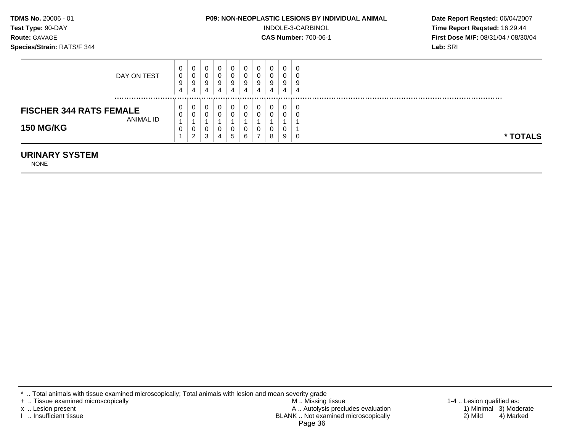| <b>TDMS No. 20006 - 01</b>        | <b>P09: NON-NEOPLASTIC LESIONS BY INDIVIDUAL ANIMAL</b> | Date Rep         |
|-----------------------------------|---------------------------------------------------------|------------------|
| Test Type: 90-DAY                 | INDOLE-3-CARBINOL                                       | Time Rep         |
| <b>Route: GAVAGE</b>              | <b>CAS Number: 700-06-1</b>                             | <b>First Dos</b> |
| <b>Species/Strain: RATS/F 344</b> |                                                         | Lab: SRI         |
|                                   |                                                         |                  |

**BY INDIVIDUAL ANIMAL Date Report Reqsted: 06/04/2007 Time Report Reqsted:** 16:29:44 **Route:** GAVAGE **CAS Number:** 700-06-1 **First Dose M/F:** 08/31/04 / 08/30/04

| DAY ON TEST                                                     | U<br>0<br>9<br>4 | 0<br>0<br>9<br>4      | 0<br>0<br>9<br>4      | U<br>υ<br>9<br>4 | 0<br>0<br>9<br>4            | 9<br>4 | C<br>J<br>9<br>4 | 0<br>υ<br>9<br>4 | 9<br>4 | 0<br>u<br>9<br>4 |          |
|-----------------------------------------------------------------|------------------|-----------------------|-----------------------|------------------|-----------------------------|--------|------------------|------------------|--------|------------------|----------|
| <b>FISCHER 344 RATS FEMALE</b><br>ANIMAL ID<br><b>150 MG/KG</b> | U<br>0<br>0      | 0<br>0<br>0<br>ົ<br>∠ | 0<br>0<br>0<br>ີ<br>J | U<br>U<br>υ<br>4 | 0<br>0<br>0<br>$\mathbf{p}$ | 6      | 0<br>0<br>U<br>- | U<br>U<br>υ<br>8 | ີ<br>9 | 0<br>u<br>J      | * TOTALS |

#### **URINARY SYSTEM**

NONE

- 
- + .. Tissue examined microscopically M .. Missing tissue 1-4 .. Lesion qualified as: x .. Lesion present 1) Minimal 3) Moderate A .. Autor A .. Autor A .. Autor A .. Autor A .. Autor A .. Autor A .. Autor A .. Autor A .. Autor A .. Autor A .. Autor A .. Autor A .. Autor A .. Autor A .. Autor A .. Autor A . I .. Insufficient tissue BLANK .. Not examined microscopically 2) Mild 4) Marked Page 36

<sup>\* ..</sup> Total animals with tissue examined microscopically; Total animals with lesion and mean severity grade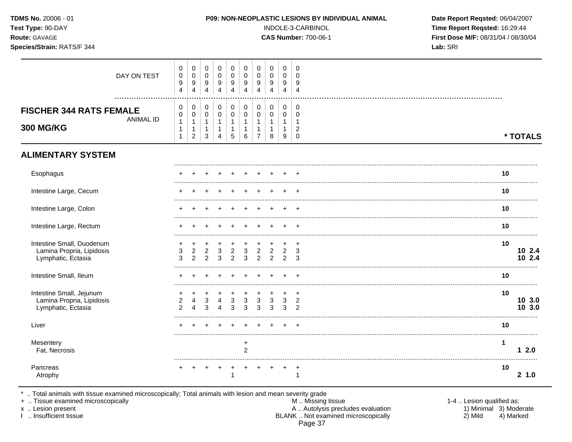| TDMS No. 20006 - 01<br>Test Type: 90-DAY<br>Route: GAVAGE<br>Species/Strain: RATS/F 344 |                                                                |                                                                  |                                                                           |                                                      |                                             |                                                                       |                                                                    |                                                                     |                                                                              | P09: NON-NEOPLASTIC LESIONS BY INDIVIDUAL ANIMAL<br>INDOLE-3-CARBINOL<br><b>CAS Number: 700-06-1</b> | Date Report Reqsted: 06/04/2007<br>Time Report Reqsted: 16:29:44<br>First Dose M/F: 08/31/04 / 08/30/04<br>Lab: SRI |              |                  |
|-----------------------------------------------------------------------------------------|----------------------------------------------------------------|------------------------------------------------------------------|---------------------------------------------------------------------------|------------------------------------------------------|---------------------------------------------|-----------------------------------------------------------------------|--------------------------------------------------------------------|---------------------------------------------------------------------|------------------------------------------------------------------------------|------------------------------------------------------------------------------------------------------|---------------------------------------------------------------------------------------------------------------------|--------------|------------------|
| DAY ON TEST<br>.                                                                        | 0<br>$\pmb{0}$<br>$\boldsymbol{9}$<br>$\overline{4}$           | 0<br>$\pmb{0}$<br>$\boldsymbol{9}$<br>$\overline{4}$             | $\mathbf 0$<br>$\Omega$<br>$\boldsymbol{9}$<br>$\overline{4}$             | 0<br>$\Omega$<br>9<br>$\overline{4}$                 | 0<br>$\Omega$<br>9<br>$\overline{4}$        | $\mathbf 0$<br>$\mathbf 0$<br>$\boldsymbol{9}$<br>$\overline{4}$      | $\mathbf 0$<br>$\Omega$<br>$\boldsymbol{9}$<br>$\overline{4}$      | 0<br>0<br>$9\,$<br>$\overline{4}$                                   | 0<br>$\mathbf 0$<br>9<br>$\overline{4}$                                      | $\mathbf 0$<br>$\Omega$<br>9<br>$\overline{4}$                                                       |                                                                                                                     |              |                  |
| <b>FISCHER 344 RATS FEMALE</b><br><b>ANIMAL ID</b><br><b>300 MG/KG</b>                  | 0<br>$\pmb{0}$<br>$\mathbf{1}$<br>$\mathbf{1}$<br>$\mathbf{1}$ | 0<br>$\pmb{0}$<br>$\mathbf{1}$<br>$\mathbf{1}$<br>$\overline{2}$ | $\mathbf 0$<br>$\Omega$<br>$\overline{1}$<br>$\mathbf{1}$<br>$\mathbf{3}$ | 0<br>$\Omega$<br>1<br>$\mathbf{1}$<br>$\overline{4}$ | 0<br>0<br>$\mathbf{1}$<br>$\mathbf{1}$<br>5 | $\mathbf 0$<br>$\mathbf 0$<br>$\mathbf{1}$<br>$\mathbf{1}$<br>$\,6\,$ | 0<br>$\mathbf 0$<br>$\mathbf{1}$<br>$\mathbf{1}$<br>$\overline{7}$ | 0<br>$\mathsf{O}\xspace$<br>$\mathbf{1}$<br>$\mathbf{1}$<br>$\bf 8$ | $\mathbf 0$<br>$\pmb{0}$<br>$\mathbf{1}$<br>$\mathbf{1}$<br>$\boldsymbol{9}$ | 0<br>$\Omega$<br>$\overline{1}$<br>$\overline{c}$<br>$\mathbf 0$                                     |                                                                                                                     |              | * TOTALS         |
| <b>ALIMENTARY SYSTEM</b>                                                                |                                                                |                                                                  |                                                                           |                                                      |                                             |                                                                       |                                                                    |                                                                     |                                                                              |                                                                                                      |                                                                                                                     |              |                  |
| Esophagus                                                                               |                                                                |                                                                  |                                                                           |                                                      |                                             |                                                                       |                                                                    |                                                                     |                                                                              |                                                                                                      |                                                                                                                     | 10           |                  |
| Intestine Large, Cecum                                                                  |                                                                |                                                                  |                                                                           |                                                      |                                             |                                                                       |                                                                    |                                                                     |                                                                              |                                                                                                      |                                                                                                                     | 10           |                  |
| Intestine Large, Colon                                                                  |                                                                |                                                                  |                                                                           |                                                      |                                             |                                                                       |                                                                    |                                                                     |                                                                              |                                                                                                      |                                                                                                                     | 10           |                  |
| Intestine Large, Rectum                                                                 |                                                                |                                                                  |                                                                           |                                                      |                                             |                                                                       |                                                                    |                                                                     |                                                                              |                                                                                                      |                                                                                                                     | 10           |                  |
| Intestine Small, Duodenum<br>Lamina Propria, Lipidosis<br>Lymphatic, Ectasia            | 3<br>3                                                         | $\overline{2}$<br>$\overline{2}$                                 | $\overline{2}$<br>$\mathcal{P}$                                           | 3<br>3                                               | $\overline{c}$<br>2                         | 3<br>3                                                                | $\overline{c}$<br>2                                                | $\overline{2}$<br>$\overline{2}$                                    | $\overline{2}$<br>2                                                          | $\overline{+}$<br>3<br>3                                                                             |                                                                                                                     | 10           | 10 2.4<br>10 2.4 |
| Intestine Small, Ileum                                                                  |                                                                |                                                                  |                                                                           |                                                      |                                             |                                                                       |                                                                    |                                                                     |                                                                              |                                                                                                      |                                                                                                                     | 10           |                  |
| Intestine Small, Jejunum<br>Lamina Propria, Lipidosis<br>Lymphatic, Ectasia             | $\overline{2}$<br>$\overline{2}$                               |                                                                  | 3<br>3                                                                    |                                                      | 3<br>3                                      | 3<br>3                                                                | $\sqrt{3}$<br>3                                                    | 3<br>3                                                              | 3<br>3                                                                       | $\ddot{}$<br>$\overline{2}$<br>$\overline{2}$                                                        |                                                                                                                     | 10           | 10 3.0<br>10 3.0 |
| Liver                                                                                   |                                                                |                                                                  |                                                                           |                                                      |                                             |                                                                       |                                                                    |                                                                     |                                                                              |                                                                                                      |                                                                                                                     | 10           |                  |
| Mesentery<br>Fat, Necrosis                                                              |                                                                |                                                                  |                                                                           |                                                      |                                             | $\ddot{}$<br>$\overline{2}$                                           |                                                                    |                                                                     |                                                                              |                                                                                                      |                                                                                                                     | $\mathbf{1}$ | 12.0             |
| Pancreas<br>Atrophy                                                                     |                                                                |                                                                  |                                                                           |                                                      | +                                           |                                                                       |                                                                    |                                                                     |                                                                              | $\cdot$<br>1                                                                                         |                                                                                                                     | 10           | 21.0             |

\* .. Total animals with tissue examined microscopically; Total animals with lesion and mean severity grade<br>+ .. Tissue examined microscopically

x .. Lesion present

I .. Insufficient tissue

- M .. Missing tissue A .. Autolysis precludes evaluation<br>BLANK .. Not examined microscopically Page 37
- 1-4 .. Lesion qualified as: 1) Minimal 3) Moderate  $2)$  Mild 4) Marked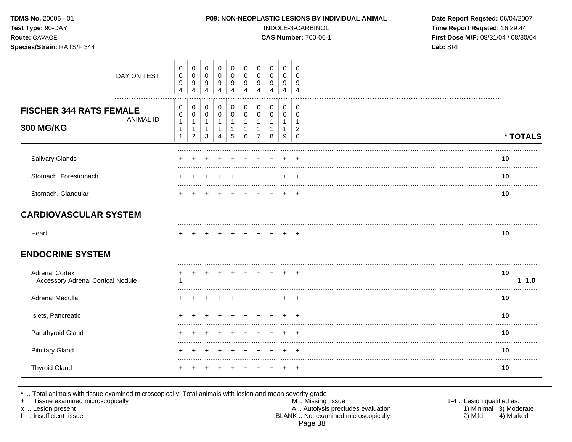| TDMS No. 20006 - 01<br>Test Type: 90-DAY<br>Route: GAVAGE<br>Species/Strain: RATS/F 344 |                                     | P09: NON-NEOPLASTIC LESIONS BY INDIVIDUAL ANIMAL<br>INDOLE-3-CARBINOL<br><b>CAS Number: 700-06-1</b> |                                                               |                                                               |                                                       |                                                              |                                                                              |                                                                     |                                                                         |                                                                             | Date Report Reqsted: 06/04/2007<br>Time Report Reqsted: 16:29:44<br>First Dose M/F: 08/31/04 / 08/30/04<br>Lab: SRI |           |
|-----------------------------------------------------------------------------------------|-------------------------------------|------------------------------------------------------------------------------------------------------|---------------------------------------------------------------|---------------------------------------------------------------|-------------------------------------------------------|--------------------------------------------------------------|------------------------------------------------------------------------------|---------------------------------------------------------------------|-------------------------------------------------------------------------|-----------------------------------------------------------------------------|---------------------------------------------------------------------------------------------------------------------|-----------|
| DAY ON TEST                                                                             | 0<br>$\,0\,$<br>9<br>$\overline{4}$ | $\pmb{0}$<br>$\pmb{0}$<br>9<br>$\overline{\mathbf{4}}$                                               | $\mathbf 0$<br>0<br>9<br>$\overline{\mathbf{4}}$              | 0<br>$\mathbf 0$<br>9<br>$\overline{\mathbf{4}}$              | 0<br>$\mathbf 0$<br>9<br>4                            | $\pmb{0}$<br>$\pmb{0}$<br>$\boldsymbol{9}$<br>$\overline{4}$ | $\mathbf 0$<br>$\mathbf 0$<br>9<br>$\overline{4}$                            | $\mathbf 0$<br>$\mathbf 0$<br>9<br>$\overline{\mathbf{4}}$          | $\mathbf 0$<br>0<br>9<br>$\overline{\mathbf{4}}$                        | 0<br>$\mathbf 0$<br>9<br>$\overline{4}$                                     |                                                                                                                     |           |
| <b>FISCHER 344 RATS FEMALE</b><br><b>ANIMAL ID</b><br><b>300 MG/KG</b>                  | 0<br>0<br>$\mathbf{1}$<br>1<br>1    | $\pmb{0}$<br>$\pmb{0}$<br>$\mathbf{1}$<br>$\mathbf{1}$<br>$\overline{2}$                             | $\pmb{0}$<br>$\mathbf 0$<br>$\mathbf{1}$<br>$\mathbf{1}$<br>3 | $\pmb{0}$<br>$\mathbf 0$<br>$\mathbf{1}$<br>$\mathbf{1}$<br>4 | 0<br>$\mathbf 0$<br>$\mathbf{1}$<br>$\mathbf{1}$<br>5 | $\pmb{0}$<br>$\pmb{0}$<br>$\mathbf{1}$<br>$\mathbf{1}$<br>6  | $\mathbf 0$<br>$\mathbf 0$<br>$\mathbf{1}$<br>$\mathbf{1}$<br>$\overline{7}$ | $\pmb{0}$<br>$\mathbf 0$<br>$\mathbf{1}$<br>$\mathbf{1}$<br>$\,8\,$ | $\mathbf 0$<br>$\mathsf{O}\xspace$<br>$\mathbf{1}$<br>$\mathbf{1}$<br>9 | $\pmb{0}$<br>$\mathbf 0$<br>$\overline{1}$<br>$\overline{c}$<br>$\mathbf 0$ |                                                                                                                     | * TOTALS  |
| Salivary Glands                                                                         |                                     |                                                                                                      |                                                               |                                                               |                                                       |                                                              |                                                                              |                                                                     |                                                                         |                                                                             |                                                                                                                     | 10        |
| Stomach, Forestomach                                                                    |                                     |                                                                                                      |                                                               |                                                               |                                                       |                                                              |                                                                              |                                                                     |                                                                         |                                                                             |                                                                                                                     | 10        |
| Stomach, Glandular                                                                      |                                     |                                                                                                      |                                                               |                                                               |                                                       |                                                              |                                                                              |                                                                     |                                                                         |                                                                             |                                                                                                                     | 10        |
| <b>CARDIOVASCULAR SYSTEM</b>                                                            |                                     |                                                                                                      |                                                               |                                                               |                                                       |                                                              |                                                                              |                                                                     |                                                                         |                                                                             |                                                                                                                     |           |
| Heart                                                                                   |                                     |                                                                                                      |                                                               |                                                               |                                                       |                                                              |                                                                              |                                                                     |                                                                         |                                                                             |                                                                                                                     | 10        |
| <b>ENDOCRINE SYSTEM</b>                                                                 |                                     |                                                                                                      |                                                               |                                                               |                                                       |                                                              |                                                                              |                                                                     |                                                                         |                                                                             |                                                                                                                     |           |
| <b>Adrenal Cortex</b><br><b>Accessory Adrenal Cortical Nodule</b>                       | +                                   |                                                                                                      |                                                               |                                                               |                                                       | $\pm$                                                        |                                                                              |                                                                     |                                                                         |                                                                             |                                                                                                                     | 10<br>1.0 |
| Adrenal Medulla                                                                         |                                     |                                                                                                      |                                                               |                                                               |                                                       |                                                              |                                                                              |                                                                     |                                                                         |                                                                             |                                                                                                                     | 10        |
| Islets, Pancreatic                                                                      |                                     |                                                                                                      |                                                               |                                                               |                                                       |                                                              |                                                                              |                                                                     |                                                                         |                                                                             |                                                                                                                     | 10        |
| Parathyroid Gland                                                                       |                                     |                                                                                                      |                                                               |                                                               |                                                       |                                                              |                                                                              |                                                                     |                                                                         |                                                                             |                                                                                                                     | 10        |
| <b>Pituitary Gland</b>                                                                  |                                     |                                                                                                      |                                                               |                                                               |                                                       |                                                              |                                                                              |                                                                     |                                                                         |                                                                             |                                                                                                                     | 10        |
| <b>Thyroid Gland</b>                                                                    |                                     |                                                                                                      |                                                               |                                                               |                                                       |                                                              |                                                                              |                                                                     |                                                                         | $\pm$                                                                       |                                                                                                                     | 10        |

\* .. Total animals with tissue examined microscopically; Total animals with lesion and mean severity grade<br>
+ .. Tissue examined microscopically<br>
x .. Lesion present A .. Autolysis precludes evaluation<br>
1 .. Insufficient t Page 38

1-4 .. Lesion qualified as:<br>1) Minimal 3) Moderate<br>2) Mild 4) Marked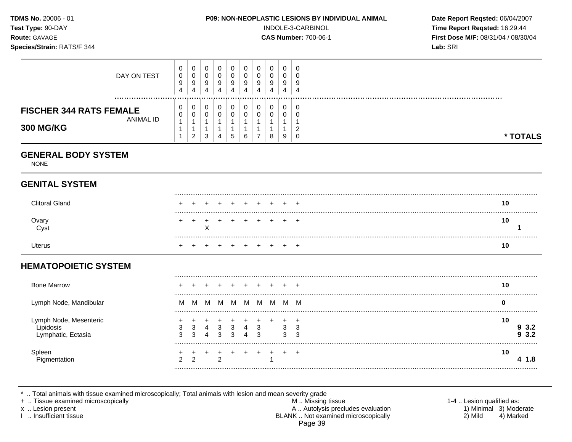| <b>TDMS No. 20006 - 01</b><br>Test Type: 90-DAY<br><b>Route: GAVAGE</b><br>Species/Strain: RATS/F 344 |             | <b>P09: NON-NEOPLASTIC LESIONS BY INDIVIDUAL ANIMAL</b><br>INDOLE-3-CARBINOL<br><b>CAS Number: 700-06-1</b> |                  |   |        |             |                  |                  |        |                  |              |  | Date Report Reqsted: 06/04/2007<br>Time Report Regsted: 16:29:44<br><b>First Dose M/F: 08/31/04 / 08/30/04</b><br>Lab: SRI |  |
|-------------------------------------------------------------------------------------------------------|-------------|-------------------------------------------------------------------------------------------------------------|------------------|---|--------|-------------|------------------|------------------|--------|------------------|--------------|--|----------------------------------------------------------------------------------------------------------------------------|--|
|                                                                                                       | DAY ON TEST | 0<br>0<br>9<br>$\overline{4}$                                                                               | 0<br>0<br>9<br>4 | 4 | 0<br>9 | 0<br>9<br>4 | 0<br>0<br>9<br>4 | 0<br>0<br>9<br>4 | 9<br>4 | 0<br>O<br>9<br>4 | -0<br>9<br>4 |  |                                                                                                                            |  |

# **GENITAL SYSTEM**

**GENERAL BODY SYSTEM** 

**300 MG/KG** 1

NONE

**FISCHER 344 RATS FEMALE 0 ANIMAL ID 0 1** 

ANIMAL ID  $\begin{bmatrix} 0 \\ 1 \\ 1 \end{bmatrix}$ 

| l Glanc       | + + + + + + + + + + |  |             |  |  | 10 |  |
|---------------|---------------------|--|-------------|--|--|----|--|
| Ovary<br>Cyst | + + + + + + + + + + |  |             |  |  | 10 |  |
| Jterus        |                     |  | + + + + + + |  |  | 10 |  |

#### **HEMATOPOIETIC SYSTEM**

| <b>Bone Marrow</b>                           |   |        |   |   |   |   |   |        |        | 10 |
|----------------------------------------------|---|--------|---|---|---|---|---|--------|--------|----|
| Lymph Node, Mandibular                       | M |        | M | M | M | M | M | M      | M      |    |
| Lymph Node, Mesenteric<br>Lymphatic, Ectasia |   | 4<br>4 | З | З | Δ | 3 |   | 3<br>3 | 3<br>3 | 10 |
| Spieer                                       | ົ |        | c |   |   |   |   |        |        | 10 |

\* .. Total animals with tissue examined microscopically; Total animals with lesion and mean severity grade

+ .. Tissue examined microscopically M .. Missing tissue 1-4 .. Lesion qualified as:

- x .. Lesion present 1) Minimal 3) Moderate A .. Autor A .. Autor A .. Autor A .. Autor A .. Autor A .. Autor A .. Autor A .. Autor A .. Autor A .. Autor A .. Autor A .. Autor A .. Autor A .. Autor A .. Autor A .. Autor A . I .. Insufficient tissue BLANK .. Not examined microscopically 2) Mild 4) Marked Page 39
- 

**\* TOTALS**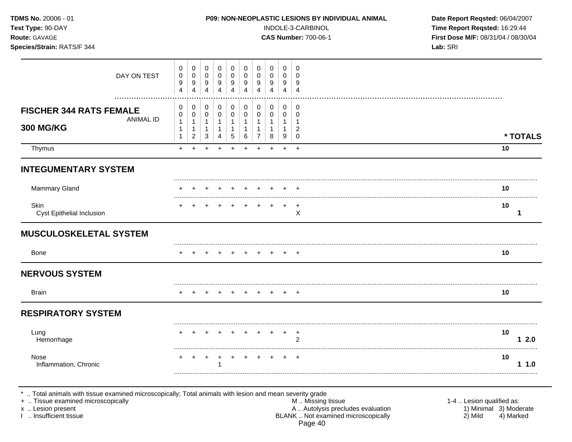| TDMS No. 20006 - 01<br>Test Type: 90-DAY<br>Route: GAVAGE<br>Species/Strain: RATS/F 344 |                                                                  |                                                          |                                                                            |                                                                                | P09: NON-NEOPLASTIC LESIONS BY INDIVIDUAL ANIMAL   |                                                        | INDOLE-3-CARBINOL<br><b>CAS Number: 700-06-1</b>                           | Date Report Reqsted: 06/04/2007<br>Time Report Reqsted: 16:29:44<br>First Dose M/F: 08/31/04 / 08/30/04<br>Lab: SRI |                                                                     |                                                    |  |            |
|-----------------------------------------------------------------------------------------|------------------------------------------------------------------|----------------------------------------------------------|----------------------------------------------------------------------------|--------------------------------------------------------------------------------|----------------------------------------------------|--------------------------------------------------------|----------------------------------------------------------------------------|---------------------------------------------------------------------------------------------------------------------|---------------------------------------------------------------------|----------------------------------------------------|--|------------|
| DAY ON TEST                                                                             |                                                                  | $\mathbf 0$<br>$\mathbf 0$<br>9<br>4                     | 0<br>$\mathbf 0$<br>9<br>$\overline{4}$                                    | $\mathsf{O}\xspace$<br>$\mathsf{O}\xspace$<br>9<br>$\overline{4}$              | $\mathbf 0$<br>$\pmb{0}$<br>9<br>$\overline{4}$    | 0<br>$\mathbf 0$<br>$\boldsymbol{9}$<br>$\overline{4}$ | $\pmb{0}$<br>$\pmb{0}$<br>9<br>$\overline{4}$                              | 0<br>$\mathbf 0$<br>9<br>4                                                                                          | 0<br>$\mathbf 0$<br>9<br>4                                          | $\mathbf 0$<br>$\mathbf 0$<br>9<br>$\overline{4}$  |  |            |
| <br><b>FISCHER 344 RATS FEMALE</b><br><b>ANIMAL ID</b><br><b>300 MG/KG</b>              | 0<br>$\mathbf 0$<br>$\mathbf{1}$<br>$\mathbf{1}$<br>$\mathbf{1}$ | 0<br>0<br>$\mathbf{1}$<br>$\mathbf{1}$<br>$\overline{a}$ | $\mathbf 0$<br>$\mathbf 0$<br>$\mathbf{1}$<br>$\mathbf{1}$<br>$\mathbf{3}$ | $\mathbf 0$<br>$\mathbf 0$<br>$\overline{1}$<br>$\mathbf{1}$<br>$\overline{4}$ | 0<br>$\mathsf{O}\xspace$<br>1<br>$\mathbf{1}$<br>5 | 0<br>$\mathbf 0$<br>$\mathbf{1}$<br>$\mathbf{1}$<br>6  | $\pmb{0}$<br>$\mathbf 0$<br>$\mathbf{1}$<br>$\mathbf{1}$<br>$\overline{7}$ | 0<br>$\mathbf 0$<br>1<br>$\mathbf{1}$<br>8                                                                          | $\mathbf 0$<br>$\mathbf 0$<br>$\mathbf{1}$<br>$\mathbf{1}$<br>$9\,$ | 0<br>$\mathbf 0$<br>1<br>$\sqrt{2}$<br>$\mathbf 0$ |  | * TOTALS   |
| Thymus                                                                                  | $+$                                                              | $+$                                                      | $+$                                                                        | $\ddot{}$                                                                      | $+$                                                | $\ddot{}$                                              | $+$                                                                        | $+$                                                                                                                 | $+$                                                                 | $+$                                                |  | 10         |
| <b>INTEGUMENTARY SYSTEM</b>                                                             |                                                                  |                                                          |                                                                            |                                                                                |                                                    |                                                        |                                                                            |                                                                                                                     |                                                                     |                                                    |  |            |
| <b>Mammary Gland</b>                                                                    |                                                                  |                                                          |                                                                            |                                                                                |                                                    |                                                        |                                                                            |                                                                                                                     |                                                                     |                                                    |  | 10         |
| Skin<br>Cyst Epithelial Inclusion                                                       |                                                                  |                                                          |                                                                            |                                                                                |                                                    |                                                        |                                                                            | $\ddot{}$                                                                                                           | $\ddot{}$                                                           | $\overline{1}$<br>$\times$                         |  | 10<br>1    |
| <b>MUSCULOSKELETAL SYSTEM</b>                                                           |                                                                  |                                                          |                                                                            |                                                                                |                                                    |                                                        |                                                                            |                                                                                                                     |                                                                     |                                                    |  |            |
| <b>Bone</b>                                                                             |                                                                  |                                                          |                                                                            |                                                                                | $+$                                                | $+$                                                    | $+$                                                                        |                                                                                                                     |                                                                     | $+$ $+$                                            |  | 10         |
| <b>NERVOUS SYSTEM</b>                                                                   |                                                                  |                                                          |                                                                            |                                                                                |                                                    |                                                        |                                                                            |                                                                                                                     |                                                                     |                                                    |  |            |
| <b>Brain</b>                                                                            |                                                                  | $+$                                                      | $+$                                                                        | $+$                                                                            | $+$                                                | $+$                                                    | $+$                                                                        | $+$                                                                                                                 |                                                                     | $+$ $+$                                            |  | 10         |
| <b>RESPIRATORY SYSTEM</b>                                                               |                                                                  |                                                          |                                                                            |                                                                                |                                                    |                                                        |                                                                            |                                                                                                                     |                                                                     |                                                    |  |            |
| Lung<br>Hemorrhage                                                                      |                                                                  |                                                          |                                                                            |                                                                                |                                                    |                                                        |                                                                            |                                                                                                                     |                                                                     | $^{+}$<br>2                                        |  | 10<br>12.0 |
| Nose<br>Inflammation, Chronic                                                           |                                                                  |                                                          |                                                                            | 1                                                                              |                                                    |                                                        |                                                                            |                                                                                                                     |                                                                     | $\overline{ }$                                     |  | 10<br>11.0 |